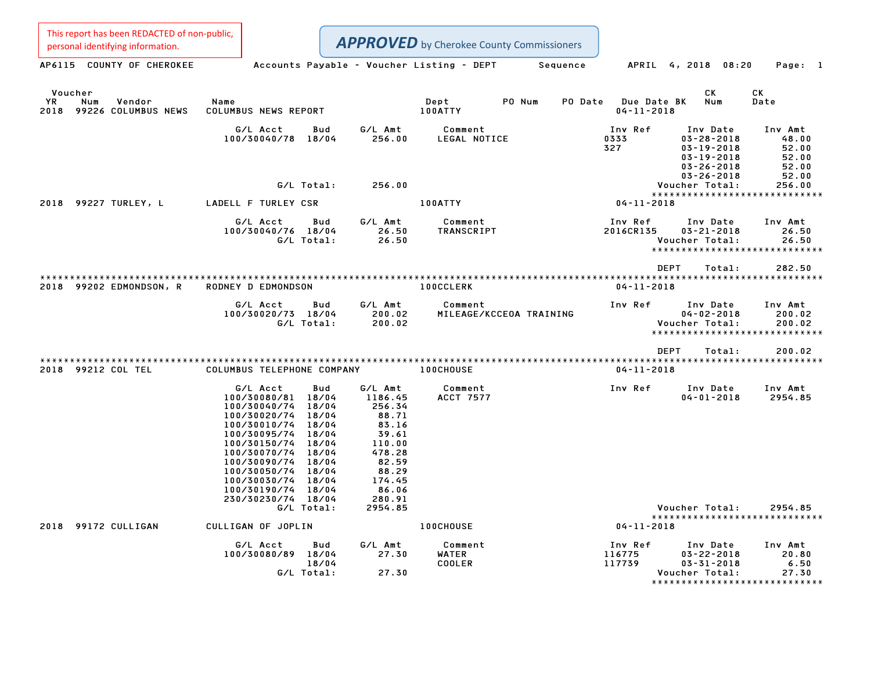Personal identifying information.<br>
AP6115 COUNTY OF CHEROKEE Accounts Payable - Voucher Listing - DEPT Sequence APRIL 4, 2018 08:20 Page: 1 Voucher CK CK YR Num Vendor Name Dept PO Num PO Date Due Date BK Num Date Voucher<br>1992 - YR Num Vendor – Name Mame – Dept – PO Num PO Date Due Date<br>2018 99226 COLUMBUS NEWS COLUMBUS NEWS REPORT – 100ATTY – 100ATTY – 100ATTY G/L Acct Bud G/L Amt Comment Inv Ref Inv Date Inv Amt 100/30040/78 18/04 256.00 LEGAL NOTICE <sup>0333</sup> 03-28-2018 48.00 1nv Ref Inv Date Inv Amt<br>0333 03–28–2018 48.00<br>327 03–19–2018 52.00 03-19-2018 52.00 03-26-2018 52.00 03-26-2018 52.00 52.00 03-26-2018<br>52.00 03-26-2018 05-26<br>Voucher Total: 256.00 Voucher Total: 256.00  $03-26-2018$   $52.00$ <br>Voucher Total:  $256.00$ <br>\*\*\*\*\*\*\*\*\*\*\*\*\*\*\*\*\*\*\*\*\*\*\*\*\*\*\*\*\* <sup>2018</sup> <sup>99227</sup> TURLEY, <sup>L</sup> LADELL <sup>F</sup> TURLEY CSR 100ATTY 04-11-2018 G/L Acct Bud G/L Amt Comment Inv Ref Inv Date Inv Amt 100/30040/76 18/04 26.50 TRANSCRIPT 2016CR135 03-21-2018 26.50 G/L Total: 26.50 Voucher Total: 26.50 5 03-21-2018 26.50<br> Voucher Total: 26.50<br>\*\*\*\*\*\*\*\*\*\*\*\*\*\*\*\*\*\*\*\*\*\*\*\*\*\*\*\* \*\*\*\*\*\*\*\*\*\*\*\*\*\*\*\*\*\*\*\*\*\*\*\*<br>DEPT Total: 282.50 \*\*\*\*\*\*\*\*\*\*\*\*\*\*\*\*\*\*\*\*\*\*\*\*\*\*\*\*\*\*\*\*\*\*\*\*\*\*\*\*\*\*\*\*\*\*\*\*\*\*\*\*\*\*\*\*\*\*\*\*\*\*\*\*\*\*\*\*\*\*\*\*\*\*\*\*\*\*\*\*\*\*\*\*\*\*\*\*\*\*\*\*\*\*\*\*\*\*\*\*\*\*\*\*\*\*\*\*\*\*\*\*\*\*\*\*\*\*\*\*\*\*\*\*\*\*\*\*\*\*\*\* <sup>2018</sup> <sup>99202</sup> EDMONDSON, <sup>R</sup> RODNEY <sup>D</sup> EDMONDSON 100CCLERK 04-11-2018 G/L Acct Bud G/L Amt Comment Inv Ref Inv Date Inv Amt 100/30020/73 18/04 200.02 MILEAGE/KCCEOA TRAINING 04-02-2018 200.02 G/L Total: 200.02 Voucher Total: 200.02 \*\*\*\*\*\*\*\*\*\*\*\*\*\*\*\*\*\*\*\*\*\*\*\*\*\*\*\*\* \*\*\*\*\*\*\*\*\*\*\*\*\*\*\*\*\*\*\*\*\*\*\*\*<br>DEPT Total: 200.02 \*\*\*\*\*\*\*\*\*\*\*\*\*\*\*\*\*\*\*\*\*\*\*\*\*\*\*\*\*\*\*\*\*\*\*\*\*\*\*\*\*\*\*\*\*\*\*\*\*\*\*\*\*\*\*\*\*\*\*\*\*\*\*\*\*\*\*\*\*\*\*\*\*\*\*\*\*\*\*\*\*\*\*\*\*\*\*\*\*\*\*\*\*\*\*\*\*\*\*\*\*\*\*\*\*\*\*\*\*\*\*\*\*\*\*\*\*\*\*\*\*\*\*\*\*\*\*\*\*\*\*\* <sup>2018</sup> <sup>99212</sup> COL TEL COLUMBUS TELEPHONE COMPANY 100CHOUSE 04-11-2018 This report has been REDACTED of non-public,

|      | 2018 99212 COL TEL | COLUMBUS TELEPHONE COMPANY |              |                    | <b>100CHOUSE</b>            | $04 - 11 - 2018$ |                                |                    |
|------|--------------------|----------------------------|--------------|--------------------|-----------------------------|------------------|--------------------------------|--------------------|
|      |                    | G/L Acct<br>100/30080/81   | Bud<br>18/04 | G/L Amt<br>1186.45 | Comment<br><b>ACCT 7577</b> | Inv Ref          | Inv Date<br>$04 - 01 - 2018$   | Inv Amt<br>2954.85 |
|      |                    | 100/30040/74               | 18/04        | 256.34             |                             |                  |                                |                    |
|      |                    | 100/30020/74               | 18/04        | 88.71              |                             |                  |                                |                    |
|      |                    | 100/30010/74               | 18/04        | 83.16              |                             |                  |                                |                    |
|      |                    | 100/30095/74               | 18/04        | 39.61              |                             |                  |                                |                    |
|      |                    | 100/30150/74               | 18/04        | 110.00             |                             |                  |                                |                    |
|      |                    | 100/30070/74               | 18/04        | 478.28             |                             |                  |                                |                    |
|      |                    | 100/30090/74               | 18/04        | 82.59              |                             |                  |                                |                    |
|      |                    | 100/30050/74               | 18/04        | 88.29              |                             |                  |                                |                    |
|      |                    | 100/30030/74               | 18/04        | 174.45             |                             |                  |                                |                    |
|      |                    | 100/30190/74               | 18/04        | 86.06              |                             |                  |                                |                    |
|      |                    | 230/30230/74 18/04         |              | 280.91             |                             |                  |                                |                    |
|      |                    | G/L Total:                 |              | 2954.85            |                             |                  | Voucher Total:                 | 2954.85            |
|      |                    |                            |              |                    |                             |                  | *****************************  |                    |
| 2018 | 99172 CULLIGAN     | CULLIGAN OF JOPLIN         |              |                    | <b>100CHOUSE</b>            | $04 - 11 - 2018$ |                                |                    |
|      |                    | G/L Acct                   | Bud          | G/L Amt            | Comment                     | Inv Ref          | Inv Date                       | Inv Amt            |
|      |                    | 100/30080/89               | 18/04        | 27.30              | WATER                       | 116775           | $03 - 22 - 2018$               | 20.80              |
|      |                    |                            | 18/04        |                    | COOLER                      | 117739           | $03 - 31 - 2018$               | 6.50               |
|      |                    | G/L Total:                 |              | 27.30              |                             |                  | Voucher Total:                 | 27.30              |
|      |                    |                            |              |                    |                             |                  | ****************************** |                    |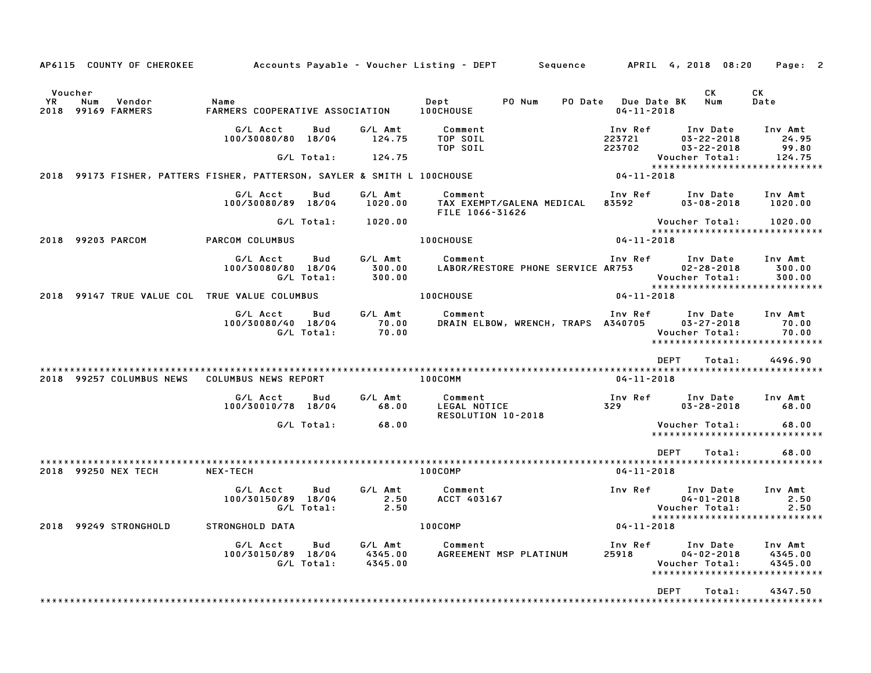|            | AP6115 COUNTY OF CHEROKEE                                                |                                         |                   |                               | Accounts Payable – Voucher Listing – DEPT         Sequence |                                         | APRIL 4, 2018 08:20                                                              | Page: 2                       |
|------------|--------------------------------------------------------------------------|-----------------------------------------|-------------------|-------------------------------|------------------------------------------------------------|-----------------------------------------|----------------------------------------------------------------------------------|-------------------------------|
| YR<br>2018 | Voucher<br>Num<br>Vendor<br>99169 FARMERS                                | Name<br>FARMERS COOPERATIVE ASSOCIATION |                   |                               | PO Num<br>Dept<br>100CHOUSE                                | PO Date Due Date BK<br>$04 - 11 - 2018$ | CK<br>Num                                                                        | CK<br>Date                    |
|            |                                                                          | G/L Acct<br>100/30080/80 18/04          | Bud               | G/L Amt<br>124.75             | Comment<br>TOP SOIL<br>TOP SOIL                            | Inv Ref<br>223721<br>223702             | Inv Date<br>$03 - 22 - 2018$<br>$03 - 22 - 2018$                                 | Inv Amt<br>24.95<br>99.80     |
|            | 2018 99173 FISHER, PATTERS FISHER, PATTERSON, SAYLER & SMITH L 100CHOUSE |                                         | G/L Total:        | 124.75                        |                                                            | $04 - 11 - 2018$                        | Voucher Total:<br>*****************************                                  | 124.75                        |
|            |                                                                          |                                         |                   |                               |                                                            |                                         |                                                                                  |                               |
|            |                                                                          | G/L Acct<br>100/30080/89 18/04          | Bud               | G/L Amt<br>1020.00            | Comment<br>TAX EXEMPT/GALENA MEDICAL<br>FILE 1066-31626    | Inv Ref<br>83592                        | Inv Date<br>$03 - 08 - 2018$                                                     | Inv Amt<br>1020.00            |
|            |                                                                          |                                         | G/L Total:        | 1020.00                       |                                                            |                                         | Voucher Total:                                                                   | 1020.00                       |
|            | 2018 99203 PARCOM                                                        | PARCOM COLUMBUS                         |                   |                               | 100CHOUSE                                                  | $04 - 11 - 2018$                        | *****************************                                                    |                               |
|            |                                                                          | G/L Acct<br>100/30080/80 18/04          | Bud<br>G/L Total: | G/L Amt<br>300.00<br>300.00   | Comment<br>LABOR/RESTORE PHONE SERVICE AR753               | Inv Ref                                 | Inv Date<br>$02 - 28 - 2018$<br>Voucher Total:<br>****************************** | Inv Amt<br>300.00<br>300.00   |
|            | 2018 99147 TRUE VALUE COL TRUE VALUE COLUMBUS                            |                                         |                   |                               | 100CHOUSE                                                  | $04 - 11 - 2018$                        |                                                                                  |                               |
|            |                                                                          | G/L Acct<br>100/30080/40 18/04          | Bud<br>G/L Total: | G/L Amt<br>70.00<br>70.00     | Comment<br>DRAIN ELBOW, WRENCH, TRAPS A340705              | Inv Ref                                 | Inv Date<br>$03 - 27 - 2018$<br>Voucher Total:<br>*****************************  | Inv Amt<br>70.00<br>70.00     |
|            |                                                                          |                                         |                   |                               |                                                            |                                         | <b>DEPT</b><br>Total:                                                            | 4496.90                       |
|            | 2018 99257 COLUMBUS NEWS                                                 | COLUMBUS NEWS REPORT                    |                   |                               | 100COMM                                                    | $04 - 11 - 2018$                        |                                                                                  |                               |
|            |                                                                          | G/L Acct<br>100/30010/78 18/04          | Bud               | G/L Amt<br>68.00              | Comment<br>LEGAL NOTICE<br>RESOLUTION 10-2018              | Inv Ref<br>329                          | Inv Date<br>$03 - 28 - 2018$                                                     | Inv Amt<br>68.00              |
|            |                                                                          |                                         | G/L Total:        | 68.00                         |                                                            |                                         | Voucher Total:<br>******************************                                 | 68.00                         |
|            |                                                                          |                                         |                   |                               |                                                            |                                         | <b>DEPT</b><br>Total:                                                            | 68.00                         |
|            | 2018 99250 NEX TECH                                                      | <b>NEX-TECH</b>                         |                   |                               | <b>100COMP</b>                                             | $04 - 11 - 2018$                        |                                                                                  |                               |
|            |                                                                          | G/L Acct<br>100/30150/89 18/04          | Bud<br>G/L Total: | G/L Amt<br>2.50<br>2.50       | Comment<br>ACCT 403167                                     | Inv Ref                                 | Inv Date<br>$04 - 01 - 2018$<br>Voucher Total:<br>****************************** | Inv Amt<br>2.50<br>2.50       |
|            | 2018 99249 STRONGHOLD                                                    | STRONGHOLD DATA                         |                   |                               | 100COMP                                                    | $04 - 11 - 2018$                        |                                                                                  |                               |
|            |                                                                          | G/L Acct<br>100/30150/89 18/04          | Bud<br>G/L Total: | G/L Amt<br>4345.00<br>4345.00 | Comment<br>AGREEMENT MSP PLATINUM                          | Inv Ref<br>25918                        | Inv Date<br>$04 - 02 - 2018$<br>Voucher Total:<br>*****************************  | Inv Amt<br>4345.00<br>4345.00 |
|            |                                                                          |                                         |                   |                               |                                                            |                                         | <b>DEPT</b><br>Total:                                                            | 4347.50                       |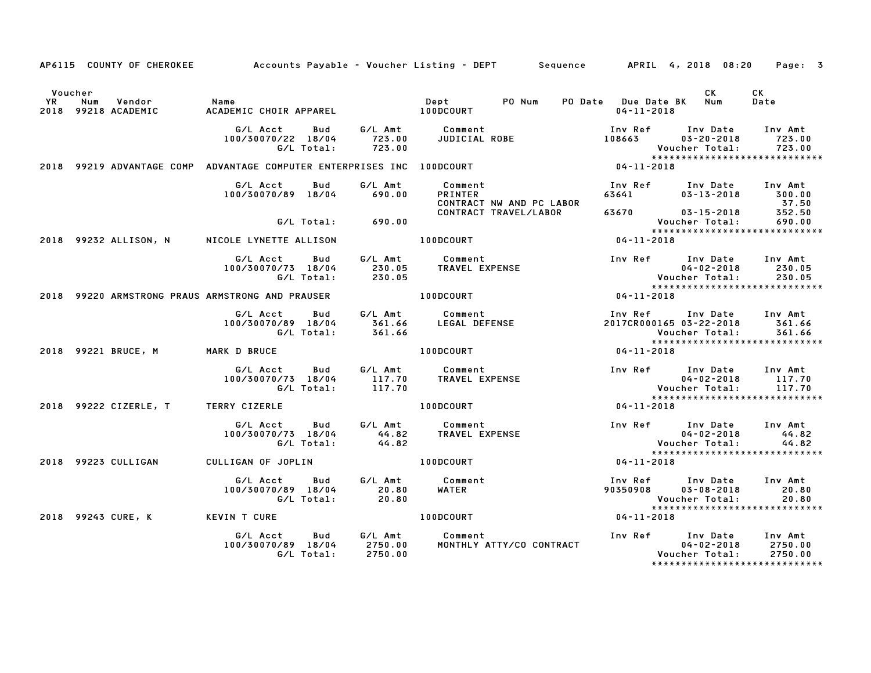|               |                                                                        |                                              |                                      | AP6115 COUNTY OF CHEROKEE Accounts Payable - Voucher Listing - DEPT Sequence APRIL 4, 2018 08:20 |                                                   |                                                | Page: 3                                                        |
|---------------|------------------------------------------------------------------------|----------------------------------------------|--------------------------------------|--------------------------------------------------------------------------------------------------|---------------------------------------------------|------------------------------------------------|----------------------------------------------------------------|
| Voucher<br>YR | Vendor<br>Num<br>2018 99218 ACADEMIC                                   | Name                                         |                                      | PO Num<br>Dept <sub>1</sub>                                                                      | PO Date Due Date BK Num<br>$04 - 11 - 2018$       | CK .                                           | CK<br>Date                                                     |
|               |                                                                        | G/L Acct<br>100/30070/22 18/04<br>G/L Total: | Bud<br>723.00<br>723.00              | G/L Amt Comment<br>723.00 JUDICIAL ROBE                                                          |                                                   | Inv Date<br>$03 - 20 - 2018$<br>Voucher Total: | Inv Amt<br>723.00<br>723.00<br>*****************************   |
|               | 2018 99219 ADVANTAGE COMP ADVANTAGE COMPUTER ENTERPRISES INC 100DCOURT |                                              |                                      |                                                                                                  | $04 - 11 - 2018$                                  |                                                |                                                                |
|               |                                                                        | G/L Acct<br>100/30070/89 18/04               | Bud<br>G/L Amt<br>690.00             | Comment<br><b>PRINTER</b><br>CONTRACT NW AND PC LABOR                                            | Inv Ref<br>63641                                  | Inv Date<br>$03 - 13 - 2018$                   | Inv Amt<br>300.00<br>37.50                                     |
|               |                                                                        |                                              | G/L Total: 690.00                    | CONTRACT TRAVEL/LABOR                                                                            | 63670 03-15-2018                                  | Voucher Total:                                 | 352.50<br>690.00                                               |
|               | 2018 99232 ALLISON, N                                                  | NICOLE LYNETTE ALLISON                       |                                      | 100DCOURT                                                                                        | $04 - 11 - 2018$                                  |                                                | *****************************                                  |
|               |                                                                        | G/L Acct<br>100/30070/73 18/04<br>G/L Total: | G/L Amt<br>Bud<br>230.05<br>230.05   | Comment<br>TRAVEL EXPENSE                                                                        | Inv Ref Inv Date Inv Amt                          | $04 - 02 - 2018$<br>Voucher Total:             | 230.05<br>230.05                                               |
|               | 2018 99220 ARMSTRONG PRAUS ARMSTRONG AND PRAUSER THE ROLL RODGOURT     |                                              |                                      |                                                                                                  | $04 - 11 - 2018$                                  |                                                | *****************************                                  |
|               |                                                                        | G/L Acct<br>100/30070/89 18/04<br>G/L Total: | G⁄L Amt<br>Bud<br>361.66<br>361.66   | Comment<br>Comment<br>LEGAL DEFENSE                                                              | Inv Ref<br>2017CR000165 03-22-2018                | Inv Date Inv Amt<br>Voucher Total:             | 361.66<br>361.66<br>*****************************              |
|               | 2018 99221 BRUCE, M                                                    | <b>MARK D BRUCE</b>                          |                                      | <b>100DCOURT</b>                                                                                 | $04 - 11 - 2018$                                  |                                                |                                                                |
|               |                                                                        | G/L Acct<br>100/30070/73 18/04<br>G/L Total: | Bud<br>117.70<br>117.70              | G/L Amt Comment<br>Comment<br>TRAVEL EXPENSE                                                     | Inv Ref Inv Date                                  | $04 - 02 - 2018$<br>Voucher Total:             | Inv Amt<br>117.70<br>117.70<br>*****************************   |
|               | 2018 99222 CIZERLE, T TERRY CIZERLE                                    |                                              |                                      | <b>100DCOURT</b>                                                                                 | $04 - 11 - 2018$                                  |                                                |                                                                |
|               |                                                                        | G/L Acct<br>100/30070/73 18/04<br>G/L Total: | Bud<br>44.82<br>44.82                | G/L Amt Comment<br><b>TRAVEL EXPENSE</b>                                                         | Inv Ref Inv Date Inv Amt                          | $04 - 02 - 2018$<br>Voucher Total:             | 44.82<br>44.82<br>*****************************                |
|               | 2018 99223 CULLIGAN                                                    | CULLIGAN OF JOPLIN                           |                                      | 100DCOURT                                                                                        | $04 - 11 - 2018$                                  |                                                |                                                                |
|               |                                                                        | G/L Acct<br>100/30070/89 18/04<br>G/L Total: | G/L Amt<br>Bud<br>20.80<br>20.80     | Comment<br>WATER                                                                                 | Inv Ref      Inv Date<br>90350908      03–08–2018 | Voucher Total:                                 | Inv Amt<br>20.80<br>20.80<br>*****************************     |
|               | 2018 99243 CURE, K                                                     | <b>KEVIN T CURE</b>                          |                                      | 100DCOURT                                                                                        | $04 - 11 - 2018$                                  |                                                |                                                                |
|               |                                                                        | G/L Acct<br>100/30070/89 18/04<br>G/L Total: | G/L Amt<br>Bud<br>2750.00<br>2750.00 | Comment<br>MONTHLY ATTY/CO CONTRACT                                                              | Inv Ref Inv Date                                  | $04 - 02 - 2018$<br>Voucher Total:             | Inv Amt<br>2750.00<br>2750.00<br>***************************** |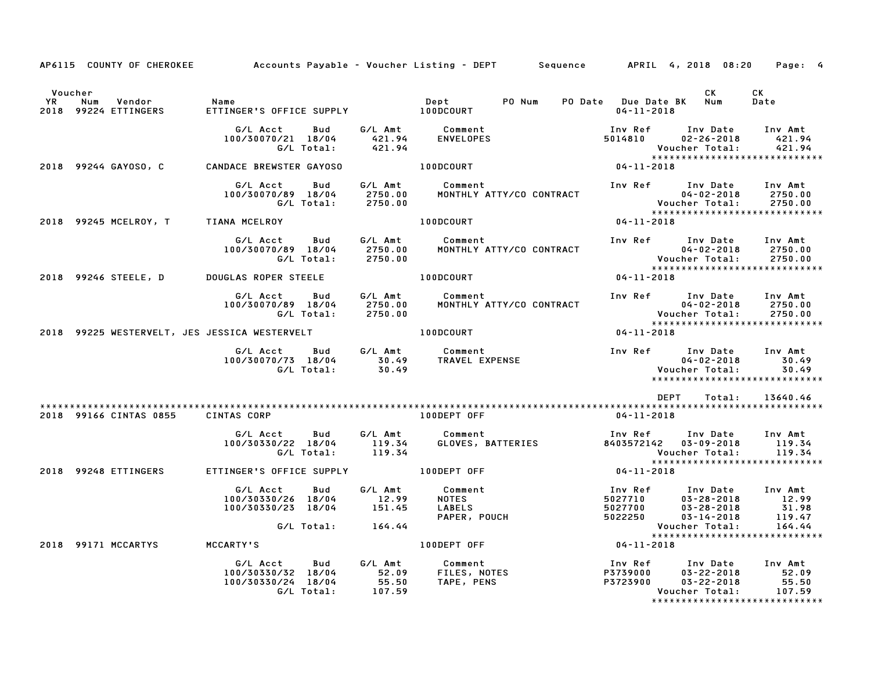| AP6115 COUNTY OF CHEROKEE                           |        | Accounts Payable – Voucher Listing – DEPT       Sequence      APRIL  4, 2018  08:20 |                          |                                      |                                       |                          |                                          |                                                                                               | Page: 4                                       |
|-----------------------------------------------------|--------|-------------------------------------------------------------------------------------|--------------------------|--------------------------------------|---------------------------------------|--------------------------|------------------------------------------|-----------------------------------------------------------------------------------------------|-----------------------------------------------|
| Voucher<br><b>YR</b><br>Num<br>2018 99224 ETTINGERS | Vendor | Name<br>ETTINGER'S OFFICE SUPPLY 100DCOURT                                          |                          |                                      | Dept                                  | PO Num                   | $04 - 11 - 2018$                         | CK<br>PO Date Due Date BK Num                                                                 | CK<br>Date                                    |
|                                                     |        | G/L Acct<br>100/30070/21 18/04                                                      | Bud<br>G/L Total:        | 421.94<br>421.94                     | G/L Amt Comment<br>ENVELOPES          |                          | Inv Ref<br>5014810                       | Inv Date<br>$02 - 26 - 2018$<br>Voucher Total:<br>*****************************               | Inv Amt<br>421.94<br>421.94                   |
| 2018 99244 GAYOSO, C                                |        | CANDACE BREWSTER GAYOSO                                                             |                          |                                      | 100DCOURT                             |                          | $04 - 11 - 2018$                         |                                                                                               |                                               |
|                                                     |        | G/L Acct<br>100/30070/89 18/04                                                      | Bud<br>G/L Total:        | G/L Amt<br>2750.00<br>2750.00        | Comment                               | MONTHLY ATTY/CO CONTRACT |                                          | Inv Ref Inv Date<br>$04 - 02 - 2018$<br>Voucher Total:<br>*****************************       | Inv Amt<br>2750.00<br>2750.00                 |
| 2018 99245 MCELROY, T TIANA MCELROY                 |        |                                                                                     |                          |                                      | 100DCOURT                             |                          | $04 - 11 - 2018$                         |                                                                                               |                                               |
|                                                     |        | G/L Acct<br>100/30070/89 18/04                                                      | Bud<br>G/L Total:        | G/L Amt<br>2750.00<br>2750.00        | Comment                               | MONTHLY ATTY/CO CONTRACT |                                          | Inv Ref Inv Date<br>$04 - 02 - 2018$<br>Voucher Total:                                        | Inv Amt<br>2750.00<br>2750.00                 |
| 2018 99246 STEELE, D                                |        | <b>DOUGLAS ROPER STEELE</b>                                                         |                          |                                      | <b>100DCOURT</b>                      |                          | 04-11-2018                               |                                                                                               |                                               |
|                                                     |        | G/L Acct<br>100/30070/89 18/04                                                      | <b>Bud</b><br>G/L Total: | G/L Amt<br>2750.00<br>2750.00        | Comment                               | MONTHLY ATTY/CO CONTRACT |                                          | Inv Ref Inv Date<br>$04 - 02 - 2018$<br>Voucher Total:<br>*****************************       | Inv Amt<br>2750.00<br>2750.00                 |
|                                                     |        | 2018 99225 WESTERVELT, JES JESSICA WESTERVELT                                       |                          |                                      | 100DCOURT                             |                          | $04 - 11 - 2018$                         |                                                                                               |                                               |
|                                                     |        | G/L Acct<br>100/30070/73 18/04                                                      | <b>Bud</b><br>G/L Total: | G/L Amt<br>30.49<br>30.49            | Comment<br>TRAVEL EXPENSE             |                          | Inv Ref                                  | Inv Date<br>$04 - 02 - 2018$<br>Voucher Total:<br>*****************************               | Inv Amt<br>30.49<br>30.49                     |
| 2018 99166 CINTAS 0855                              |        | <b>CINTAS CORP</b>                                                                  |                          |                                      | 100DEPT OFF                           |                          | 04-11-2018                               | <b>DEPT</b><br>Total:                                                                         | 13640.46                                      |
|                                                     |        | G/L Acct<br>100/30330/22 18/04                                                      | Bud<br>G/L Total:        | G/L Amt<br>119.34<br>119.34          | Comment                               | GLOVES, BATTERIES        | Inv Ref                                  | Inv Date<br>8403572142 03-09-2018<br>Voucher Total:<br>*****************************          | Inv Amt<br>119.34<br>119.34                   |
| 2018 99248 ETTINGERS                                |        | ETTINGER'S OFFICE SUPPLY                                                            |                          |                                      | 100DEPT OFF                           |                          | $04 - 11 - 2018$                         |                                                                                               |                                               |
|                                                     |        | G/L Acct<br>100/30330/26 18/04<br>100/30330/23 18/04                                | Bud<br>G/L Total:        | G/L Amt<br>12.99<br>151.45<br>164.44 | Comment<br><b>NOTES</b><br>LABELS     | PAPER, POUCH             | Inv Ref<br>5027710<br>5027700<br>5022250 | Inv Date<br>$03 - 28 - 2018$<br>$03 - 28 - 2018$<br>$03 - 14 - 2018$<br>Voucher Total:        | Inv Amt<br>12.99<br>31.98<br>119.47<br>164.44 |
| 2018 99171 MCCARTYS                                 |        | MCCARTY'S                                                                           |                          |                                      | 100DEPT OFF                           |                          | $04 - 11 - 2018$                         |                                                                                               |                                               |
|                                                     |        | G/L Acct<br>100/30330/32 18/04<br>100/30330/24 18/04                                | Bud<br>G/L Total:        | G/L Amt<br>52.09<br>55.50<br>107.59  | Comment<br>FILES, NOTES<br>TAPE, PENS |                          | Inv Ref<br>P3739000<br>P3723900          | Inv Date<br>03-22-2018<br>$03 - 22 - 2018$<br>Voucher Total:<br>***************************** | Inv Amt<br>52.09<br>55.50<br>107.59           |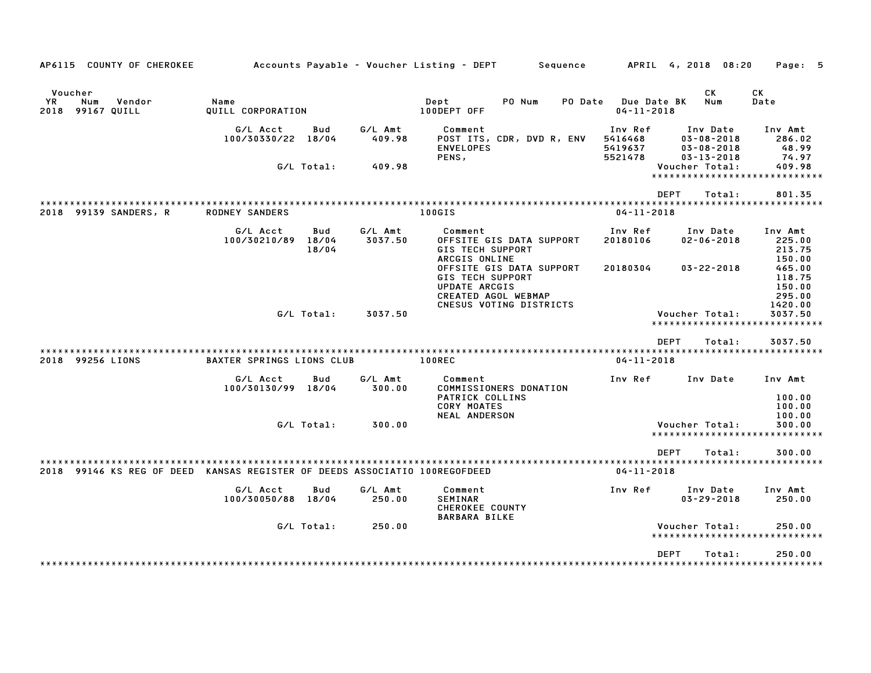|                       | AP6115 COUNTY OF CHEROKEE                                             |                                  |                              |                    | Accounts Payable - Voucher Listing - DEPT<br>Sequence                                                                         |                                          | APRIL 4, 2018 08:20                                                  | Page: 5                                         |
|-----------------------|-----------------------------------------------------------------------|----------------------------------|------------------------------|--------------------|-------------------------------------------------------------------------------------------------------------------------------|------------------------------------------|----------------------------------------------------------------------|-------------------------------------------------|
| Voucher<br>YR<br>2018 | Num<br>Vendor<br>99167 QUILL                                          | Name<br>QUILL CORPORATION        |                              |                    | Dept<br>PO Num<br>PO Date<br>100DEPT OFF                                                                                      | Due Date BK<br>$04 - 11 - 2018$          | СK<br>Num                                                            | СK<br>Date                                      |
|                       |                                                                       | G/L Acct<br>100/30330/22 18/04   | Bud                          | G/L Amt<br>409.98  | Comment<br>POST ITS, CDR, DVD R, ENV<br><b>ENVELOPES</b><br>PENS,                                                             | Inv Ref<br>5416468<br>5419637<br>5521478 | Inv Date<br>$03 - 08 - 2018$<br>$03 - 08 - 2018$<br>$03 - 13 - 2018$ | Inv Amt<br>286.02<br>48.99<br>74.97             |
|                       |                                                                       |                                  | G/L Total:                   | 409.98             |                                                                                                                               |                                          | Voucher Total:<br>*********************                              | 409.98<br>*********                             |
|                       |                                                                       |                                  |                              |                    |                                                                                                                               |                                          | <b>DEPT</b><br>Total:                                                | 801.35                                          |
| 2018                  | 99139 SANDERS, R                                                      | <b>RODNEY SANDERS</b>            |                              |                    | * * * * * * * * * * * * * * *<br>100GIS                                                                                       | $04 - 11 - 2018$                         |                                                                      |                                                 |
|                       |                                                                       | G/L Acct<br>100/30210/89         | <b>Bud</b><br>18/04<br>18/04 | G/L Amt<br>3037.50 | Comment<br>OFFSITE GIS DATA SUPPORT<br><b>GIS TECH SUPPORT</b><br>ARCGIS ONLINE                                               | Inv Ref<br>20180106                      | Inv Date<br>$02 - 06 - 2018$                                         | Inv Amt<br>225.00<br>213.75<br>150.00           |
|                       |                                                                       |                                  |                              |                    | OFFSITE GIS DATA SUPPORT<br><b>GIS TECH SUPPORT</b><br><b>UPDATE ARCGIS</b><br>CREATED AGOL WEBMAP<br>CNESUS VOTING DISTRICTS | 20180304                                 | $03 - 22 - 2018$                                                     | 465.00<br>118.75<br>150.00<br>295.00<br>1420.00 |
|                       |                                                                       |                                  | G/L Total:                   | 3037.50            |                                                                                                                               |                                          | Voucher Total:<br>*****************************                      | 3037.50                                         |
|                       |                                                                       |                                  |                              |                    |                                                                                                                               |                                          | <b>DEPT</b><br>Total:                                                | 3037.50                                         |
| 2018                  | 99256 LIONS                                                           | <b>BAXTER SPRINGS LIONS CLUB</b> |                              |                    | 100REC                                                                                                                        | $04 - 11 - 2018$                         |                                                                      |                                                 |
|                       |                                                                       | G/L Acct<br>100/30130/99         | Bud<br>18/04                 | G/L Amt<br>300.00  | Comment<br>COMMISSIONERS DONATION<br>PATRICK COLLINS<br><b>CORY MOATES</b><br><b>NEAL ANDERSON</b>                            | Inv Ref                                  | Inv Date                                                             | Inv Amt<br>100.00<br>100.00<br>100.00           |
|                       |                                                                       |                                  | G/L Total:                   | 300.00             |                                                                                                                               |                                          | Voucher Total:<br>*****************************                      | 300.00                                          |
|                       |                                                                       |                                  |                              |                    |                                                                                                                               |                                          | <b>DEPT</b><br>Total:                                                | 300.00<br>$* * * * * * * * *$                   |
| 2018                  | 99146 KS REG OF DEED KANSAS REGISTER OF DEEDS ASSOCIATIO 100REGOFDEED |                                  |                              |                    |                                                                                                                               | $04 - 11 - 2018$                         |                                                                      |                                                 |
|                       |                                                                       | G/L Acct<br>100/30050/88         | Bud<br>18/04                 | G/L Amt<br>250.00  | Comment<br><b>SEMINAR</b><br><b>CHEROKEE COUNTY</b><br><b>BARBARA BILKE</b>                                                   | Inv Ref                                  | Inv Date<br>$03 - 29 - 2018$                                         | Inv Amt<br>250.00                               |
|                       |                                                                       |                                  | G/L Total:                   | 250.00             |                                                                                                                               |                                          | Voucher Total:<br>********************                               | 250.00<br>*********                             |
|                       |                                                                       |                                  |                              |                    |                                                                                                                               |                                          | <b>DEPT</b><br>Total:                                                | 250.00                                          |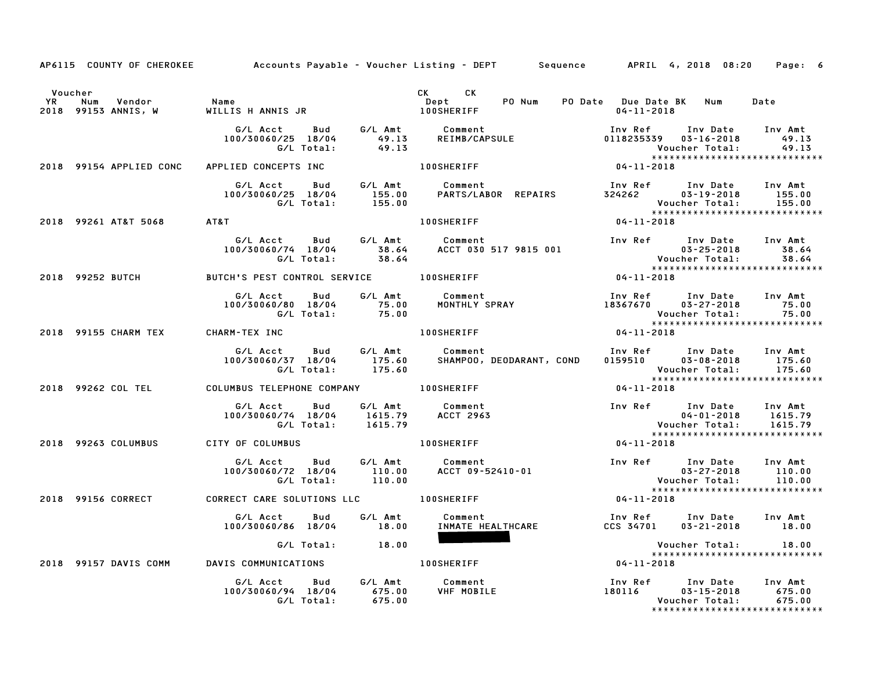|               |                                      |                                                                                                 |         | AP6115 COUNTY OF CHEROKEE Accounts Payable - Voucher Listing - DEPT Sequence APRIL 4, 2018 08:20                                                              |                                                                                                                                        | Page: 6                   |
|---------------|--------------------------------------|-------------------------------------------------------------------------------------------------|---------|---------------------------------------------------------------------------------------------------------------------------------------------------------------|----------------------------------------------------------------------------------------------------------------------------------------|---------------------------|
| Voucher<br>YR | Num<br>Vendor<br>2018 99153 ANNIS, W | Name<br>WILLIS H ANNIS JR                                                                       |         | CK CK<br>Dept PO Num<br><b>100SHERIFF</b>                                                                                                                     | PO Date Due Date BK Num<br>$04 - 11 - 2018$                                                                                            | Date                      |
|               |                                      | 100/30060/25 18/04<br>G/L Total:                                                                | 49.13   |                                                                                                                                                               | Inv Ref      Inv Date     Inv Amt<br>0118235339  03-16-2018<br>Voucher Total:<br>*****************************                         | 49.13<br>49.13            |
|               | 2018 99154 APPLIED CONC              | APPLIED CONCEPTS INC                                                                            |         | <b>100SHERIFF</b>                                                                                                                                             | $04 - 11 - 2018$                                                                                                                       |                           |
|               |                                      | G/L Acct Bud G/L Amt Comment<br>100/30060/25  18/04  155.00<br>G/L Total:  155.00               |         | Comment                                  Inv Ref      Inv Date    Inv Amt<br>PARTS/LABOR  REPAIRS             324262                03-19-2018         155.00 | Voucher Total:<br>*****************************                                                                                        | 155.00                    |
|               | 2018 99261 AT&T 5068 AT&T            |                                                                                                 |         | <b>100SHERIFF</b>                                                                                                                                             | $04 - 11 - 2018$                                                                                                                       |                           |
|               |                                      | G/L Acct Bud G/L Amt Comment<br>100/30060/74 18/04 38.64<br>G/L Total: 38.64                    |         | ACCT 030 517 9815 001                                                                                                                                         | Inv Ref Inv Date Inv Amt<br>Voucher Total: 38.64<br>****************************                                                       | 03-25-2018 38.64          |
|               | 2018 99252 BUTCH                     | BUTCH'S PEST CONTROL SERVICE 100SHERIFF                                                         |         |                                                                                                                                                               | $04 - 11 - 2018$                                                                                                                       |                           |
|               |                                      | G/L Acct<br>100/30060/80 18/04                                                                  |         | MONTHLY SPRAY                                                                                                                                                 | Inv Ref       Inv Date<br>18367670      03–27–2018<br>Voucher Total:<br>******************************                                 | Inv Amt<br>75.00<br>75.00 |
|               | 2018 99155 CHARM TEX CHARM-TEX INC   |                                                                                                 |         | <b>100SHERIFF</b>                                                                                                                                             | $04 - 11 - 2018$                                                                                                                       |                           |
|               |                                      | G/L Acct                                                                                        |         | Bud G/L Amt Comment<br>100/30060/37 18/04 175.60 SHAMPOO, DEODARANT, COND<br>G/L Total: 175.60                                                                | Inv Ref      Inv Date    Inv Amt<br>0159510        03–08–2018       175.60<br>Voucher Total: 175.60<br>******************************* |                           |
|               | 2018 99262 COL TEL                   |                                                                                                 |         |                                                                                                                                                               | $04 - 11 - 2018$                                                                                                                       |                           |
|               |                                      | G/L Acct<br>100/30060/74 18/04 1615.79<br>G/L Total: 1615.79                                    |         | Bud G/L Amt Comment<br><b>ACCT 2963</b>                                                                                                                       | Inv Ref Inv Date Inv Amt<br>$04 - 01 - 2018$<br>Voucher Total:                                                                         | 1615.79<br>1615.79        |
|               | 2018 99263 COLUMBUS                  | CITY OF COLUMBUS                                                                                |         | <b>100SHERIFF</b>                                                                                                                                             | *****************************                                                                                                          |                           |
|               |                                      | G/L Acct Bud G/L Amt Comment<br>100/30060/72 18/04 110.00 ACCT 09-52410-01<br>G/L Total: 110.00 |         |                                                                                                                                                               |                                                                                                                                        | 110.00<br>110.00          |
|               |                                      | 2018 99156 CORRECT CORRECT CARE SOLUTIONS LLC TROSHERIFF                                        |         |                                                                                                                                                               | *****************************<br>$04 - 11 - 2018$                                                                                      |                           |
|               |                                      | G/L Acct Bud<br>100/30060/86 18/04 18.00                                                        | G/L Amt | Comment<br>INMATE HEALTHCARE                                                                                                                                  | Inv Ref Inv Date Inv Amt<br>CCS 34701  03-21-2018  18.00                                                                               |                           |
|               |                                      | G/L Total: 18.00                                                                                |         |                                                                                                                                                               | Voucher Total: 18.00<br>*****************************                                                                                  |                           |
|               | 2018 99157 DAVIS COMM                | DAVIS COMMUNICATIONS                                                                            |         | <b>100SHERIFF</b>                                                                                                                                             | $04 - 11 - 2018$                                                                                                                       |                           |
|               |                                      | G/L Acct Bud G/L Amt<br>100/30060/94 18/04 675.00<br>G/L Total: 675.00                          |         | Comment<br>VHF MOBILE                                                                                                                                         | Inv Ref       Inv Date     Inv Amt<br>180116           03-15-2018          675.00<br>Voucher Total:                                    | 675.00<br>675.00          |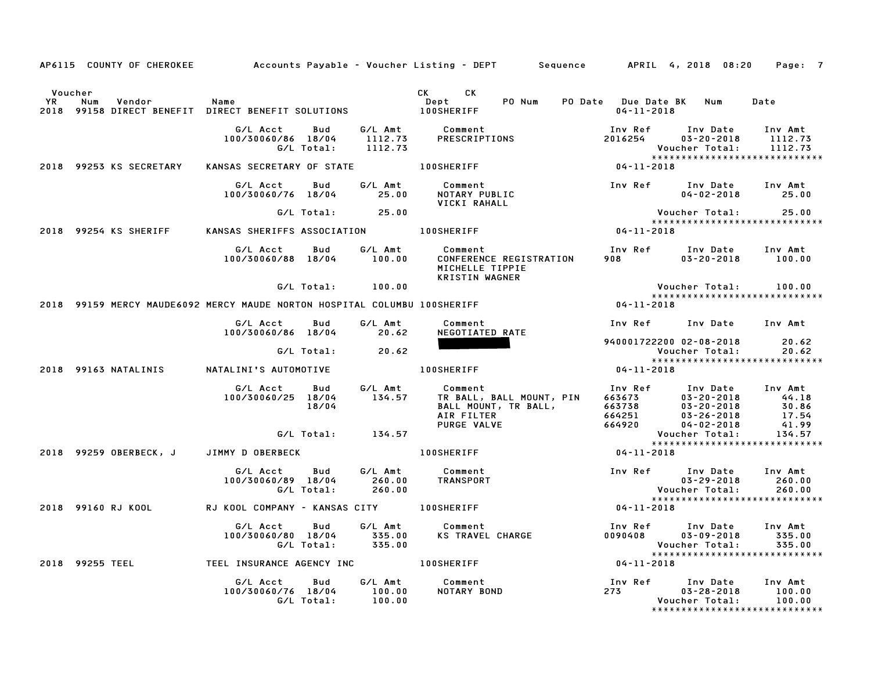|                        |                                                                           |                                              |                          |                                 | AP6115 COUNTY OF CHEROKEE Accounts Payable - Voucher Listing - DEPT Sequence APRIL 4, 2018 08:20 |                  |                                                                                              | Page: 7                       |
|------------------------|---------------------------------------------------------------------------|----------------------------------------------|--------------------------|---------------------------------|--------------------------------------------------------------------------------------------------|------------------|----------------------------------------------------------------------------------------------|-------------------------------|
| Voucher<br>YR.<br>2018 | Num<br>Vendor<br>99158 DIRECT BENEFIT DIRECT BENEFIT SOLUTIONS            | Name                                         |                          |                                 | CK CK<br>PO Num<br>Dept<br><b>100SHERIFF</b>                                                     | $04 - 11 - 2018$ | PO Date Due Date BK Num                                                                      | Date                          |
|                        |                                                                           |                                              |                          |                                 |                                                                                                  |                  |                                                                                              |                               |
|                        |                                                                           | G/L Acct<br>100/30060/86 18/04               | Bud<br>G/L Total:        | 1112.73                         | G/L Amt          Comment<br>1112.73         PRESCRIPT<br>PRESCRIPTIONS                           | 2016254          | Inv Ref      Inv Date<br>$03 - 20 - 2018$<br>Voucher Total:                                  | Inv Amt<br>1112.73<br>1112.73 |
|                        | 2018 99253 KS SECRETARY                                                   | KANSAS SECRETARY OF STATE 100SHERIFF         |                          |                                 |                                                                                                  | $04 - 11 - 2018$ |                                                                                              |                               |
|                        |                                                                           | G/L Acct<br>100/30060/76 18/04               | Bud                      | G/L Amt<br>25.00                | Comment<br>NOTARY PUBLIC<br>VICKI RAHALL                                                         |                  | Inv Ref Inv Date Inv Amt<br>$04 - 02 - 2018$ 25.00                                           |                               |
|                        |                                                                           |                                              | $G/L$ Total: $25.00$     |                                 |                                                                                                  |                  | Voucher Total: 25.00                                                                         |                               |
|                        | 2018 99254 KS SHERIFF                                                     | KANSAS SHERIFFS ASSOCIATION 100SHERIFF       |                          |                                 |                                                                                                  | $04 - 11 - 2018$ | ******************************                                                               |                               |
|                        |                                                                           | G/L Acct<br>100/30060/88 18/04 100.00        | Bud                      | G/L Amt                         | Comment<br>CONFERENCE REGISTRATION<br>MICHELLE TIPPIE<br><b>KRISTIN WAGNER</b>                   | 908 8            | Inv Ref Inv Date Inv Amt<br>$03 - 20 - 2018$                                                 | 100.00                        |
|                        |                                                                           |                                              | G/L Total: 100.00        |                                 |                                                                                                  |                  | Voucher Total:                                                                               | 100.00                        |
|                        | 2018 99159 MERCY MAUDE6092 MERCY MAUDE NORTON HOSPITAL COLUMBU 100SHERIFF |                                              |                          |                                 |                                                                                                  | $04 - 11 - 2018$ | ******************************                                                               |                               |
|                        |                                                                           | G/L Acct                                     | Bud                      | G/L Amt                         | Comment                                                                                          |                  | Inv Ref Inv Date Inv Amt                                                                     |                               |
|                        |                                                                           | 100/30060/86 18/04 20.62                     |                          |                                 | NEGOTIATED RATE                                                                                  |                  | 940001722200 02-08-2018                                                                      | 20.62                         |
|                        |                                                                           | G/L Total:                                   |                          | 20.62                           |                                                                                                  |                  | Voucher Total:                                                                               | 20.62                         |
|                        | 2018 99163 NATALINIS                                                      | NATALINI'S AUTOMOTIVE                        |                          |                                 | <b>100SHERIFF</b>                                                                                | $04 - 11 - 2018$ |                                                                                              |                               |
|                        |                                                                           | G/L Acct<br>100/30060/25 18/04               | Bud<br>18/04             | G/L Amt<br>134.57               | Comment<br>TR BALL, BALL MOUNT, PIN<br>BALL MOUNT, TR BALL,<br>AIR FILTER<br>PURGE VALVE         |                  |                                                                                              |                               |
|                        |                                                                           |                                              | G/L Total: 134.57        |                                 |                                                                                                  |                  | Voucher Total:                                                                               | 134.57                        |
|                        | 2018 99259 OBERBECK, J                                                    | JIMMY D OBERBECK                             |                          |                                 | 100SHERIFF                                                                                       | $04 - 11 - 2018$ |                                                                                              |                               |
|                        |                                                                           | G/L Acct<br>100/30060/89 18/04<br>G/L Total: | Bud                      | G/L Amt<br>260.00               | Comment<br>260.00 TRANSPORT                                                                      |                  | Inv Ref       Inv Date<br>03-29-2018<br>$03 - 29 - 2018$<br>Voucher Total:                   | Inv Amt<br>260.00<br>260.00   |
|                        | 2018 99160 RJ KOOL                                                        | RJ KOOL COMPANY - KANSAS CITY 100SHERIFF     |                          |                                 |                                                                                                  | $04 - 11 - 2018$ |                                                                                              |                               |
|                        |                                                                           | G/L Acct<br>100/30060/80 18/04               | Bud<br>G/L Total: 335.00 | G/L Amt<br>335.00               | Comment<br>KS TRAVEL CHARGE                                                                      | 0090408          | Inv Ref      Inv Date<br>$03 - 09 - 2018$<br>Voucher Total:<br>***************************** | Inv Amt<br>335.00<br>335.00   |
|                        | 2018 99255 TEEL                                                           |                                              |                          |                                 | TEEL INSURANCE AGENCY INC <b>100SHERIFF</b>                                                      | 04-11-2018       |                                                                                              |                               |
|                        |                                                                           | G/L Acct<br>100/30060/76 18/04<br>G/L Total: | Bud                      | G/L Amt<br>$100.00$<br>$100.00$ | Comment<br>NOTARY BOND                                                                           | 273 — 273        | Inv Ref Inv Date<br>$03 - 28 - 2018$<br>Voucher Total:                                       | Inv Amt<br>100.00<br>100.00   |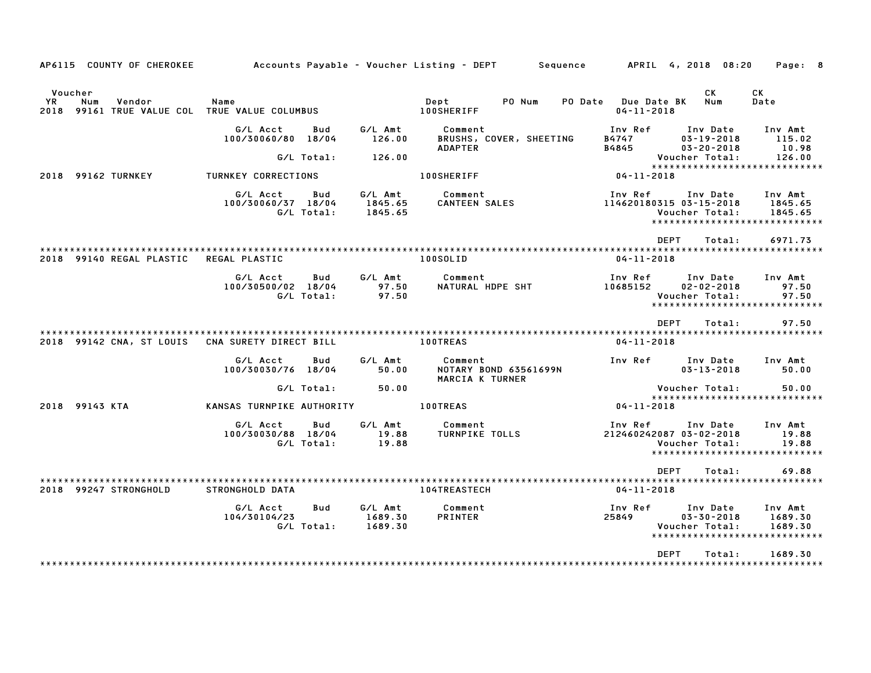| AP6115 COUNTY OF CHEROKEE                                                          |                                |                   |                               | Accounts Payable – Voucher Listing – DEPT         Sequence |                                         | APRIL 4, 2018 08:20                                                            | Page: 8                                                        |
|------------------------------------------------------------------------------------|--------------------------------|-------------------|-------------------------------|------------------------------------------------------------|-----------------------------------------|--------------------------------------------------------------------------------|----------------------------------------------------------------|
| Voucher<br>YR<br>Num<br>Vendor<br>2018<br>99161 TRUE VALUE COL TRUE VALUE COLUMBUS | Name                           |                   |                               | Dept<br>PO Num<br><b>100SHERIFF</b>                        | PO Date Due Date BK<br>$04 - 11 - 2018$ | CK<br>Num                                                                      | СK<br>Date                                                     |
|                                                                                    | G/L Acct<br>100/30060/80 18/04 | Bud               | G/L Amt<br>126.00             | Comment<br>BRUSHS, COVER, SHEETING                         | Inv Ref<br>B4747                        | Inv Date<br>$03 - 19 - 2018$                                                   | Inv Amt<br>115.02<br>10.98                                     |
|                                                                                    |                                | G/L Total:        | 126.00                        | <b>ADAPTER</b>                                             | B4845                                   | $03 - 20 - 2018$<br>Voucher Total:                                             | 126.00                                                         |
| 2018 99162 TURNKEY                                                                 | TURNKEY CORRECTIONS            |                   |                               | <b>100SHERIFF</b>                                          | 04-11-2018                              |                                                                                | ******************************                                 |
|                                                                                    | G/L Acct<br>100/30060/37 18/04 | Bud<br>G/L Total: | G/L Amt<br>1845.65<br>1845.65 | Comment<br><b>CANTEEN SALES</b>                            | Inv Ref<br>114620180315 03-15-2018      | Inv Date<br>Voucher Total:                                                     | Inv Amt<br>1845.65<br>1845.65<br>***************************** |
|                                                                                    |                                |                   |                               |                                                            | <b>DEPT</b>                             | Total:                                                                         | 6971.73                                                        |
| 2018 99140 REGAL PLASTIC                                                           | <b>REGAL PLASTIC</b>           |                   |                               | 100SOLID                                                   | $04 - 11 - 2018$                        |                                                                                |                                                                |
|                                                                                    | G/L Acct<br>100/30500/02 18/04 | Bud<br>G/L Total: | G/L Amt<br>97.50<br>97.50     | Comment<br>NATURAL HDPE SHT                                | Inv Ref<br>10685152                     | Inv Date<br>$02 - 02 - 2018$<br>Voucher Total:                                 | Inv Amt<br>97.50<br>97.50<br>*****************************     |
|                                                                                    |                                |                   |                               |                                                            | <b>DEPT</b>                             | Total:                                                                         | 97.50                                                          |
| 2018 99142 CNA, ST LOUIS                                                           | CNA SURETY DIRECT BILL         |                   |                               | <b>100TREAS</b>                                            | $04 - 11 - 2018$                        |                                                                                |                                                                |
|                                                                                    | G/L Acct<br>100/30030/76 18/04 | Bud               | G/L Amt<br>50.00              | Comment<br><b>NOTARY BOND 63561699N</b><br>MARCIA K TURNER | Inv Ref                                 | Inv Date<br>$03 - 13 - 2018$                                                   | Inv Amt<br>50.00                                               |
|                                                                                    |                                | G/L Total:        | 50.00                         |                                                            |                                         | Voucher Total:                                                                 | 50.00                                                          |
| 2018 99143 KTA                                                                     | KANSAS TURNPIKE AUTHORITY      |                   |                               | <b>100TREAS</b>                                            | $04 - 11 - 2018$                        |                                                                                | *****************************                                  |
|                                                                                    | G/L Acct<br>100/30030/88 18/04 | Bud<br>G/L Total: | G/L Amt<br>19.88<br>19.88     | Comment<br><b>TURNPIKE TOLLS</b>                           | Inv Ref<br>212460242087 03-02-2018      | Inv Date<br>Voucher Total:                                                     | Inv Amt<br>19.88<br>19.88<br>*****************************     |
|                                                                                    |                                |                   |                               |                                                            | <b>DEPT</b>                             | Total:                                                                         | 69.88                                                          |
| 2018 99247 STRONGHOLD                                                              | STRONGHOLD DATA                |                   |                               | 104TREASTECH                                               | $04 - 11 - 2018$                        |                                                                                |                                                                |
|                                                                                    | G/L Acct<br>104/30104/23       | Bud<br>G/L Total: | G/L Amt<br>1689.30<br>1689.30 | Comment<br>PRINTER                                         | Inv Ref<br>25849                        | Inv Date<br>$03 - 30 - 2018$<br>Voucher Total:<br>**************************** | Inv Amt<br>1689.30<br>1689.30                                  |
|                                                                                    |                                |                   |                               |                                                            | <b>DEPT</b>                             | Total:                                                                         | 1689.30                                                        |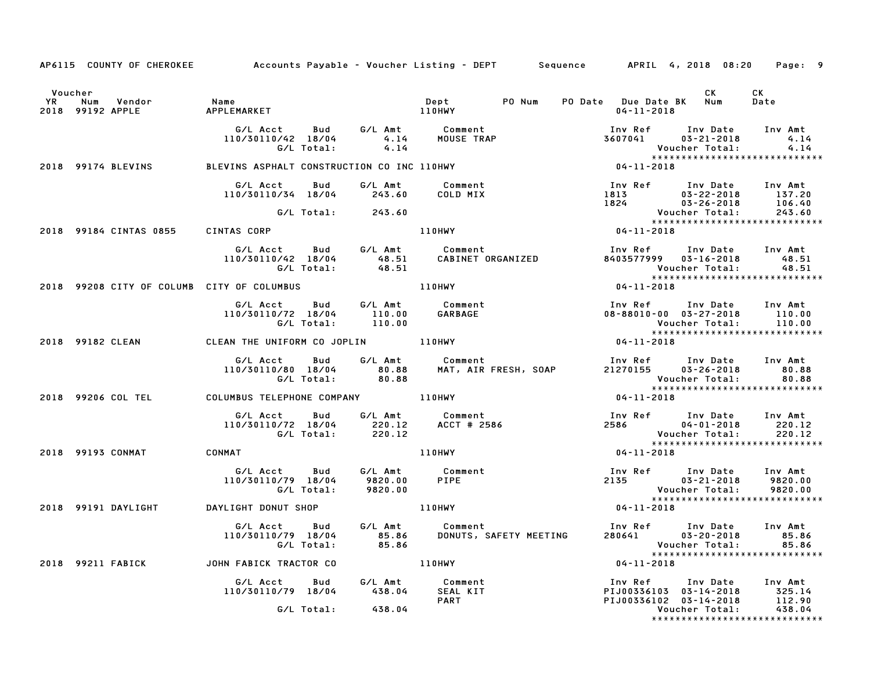|           |                                                                               |                                                                                |               |                                                                                                                 | AP6115 COUNTY OF CHEROKEE Accounts Payable - Voucher Listing - DEPT Sequence APRIL 4, 2018 08:20 Page: 9                                                                                                                                                                |                                                                                                                                                                |                  |
|-----------|-------------------------------------------------------------------------------|--------------------------------------------------------------------------------|---------------|-----------------------------------------------------------------------------------------------------------------|-------------------------------------------------------------------------------------------------------------------------------------------------------------------------------------------------------------------------------------------------------------------------|----------------------------------------------------------------------------------------------------------------------------------------------------------------|------------------|
| <b>YR</b> | Voucher<br>Num<br>Vendor<br>2018 99192 APPLE                                  | Name<br>APPLEMARKET                                                            |               | <b>110HWY</b>                                                                                                   | $04 - 11 - 2018$                                                                                                                                                                                                                                                        | CK                                                                                                                                                             | CK<br>Date       |
|           |                                                                               | G/L Acct Bud<br>110/30110/42 18/04<br>G/L Total:                               | 4.14          | G/L Amt         Comment<br>4.14        MOUSE  TRAP<br>4.14                                                      |                                                                                                                                                                                                                                                                         | Inv Ref       Inv Date     Inv Amt<br>3607041         03–21–2018               4.14<br>Voucher Total:<br>Voucher lotal: ۹.۱.۱<br>***************************** | 4.14<br>4.14     |
|           | 2018 99174 BLEVINS                                                            |                                                                                |               |                                                                                                                 |                                                                                                                                                                                                                                                                         |                                                                                                                                                                |                  |
|           |                                                                               | G/L Acct   Bud   G/L Amt<br>110/30110/34 18/04 243.60                          |               | Comment<br>COLD MIX                                                                                             | 1913 1824<br>1824 1826-22-2018 137.20<br>1824 1826-2018 106.40<br>1824 1826-2018 106.40<br>1824 1826-2018 106.40<br>18243.60<br>18243.81                                                                                                                                |                                                                                                                                                                |                  |
|           |                                                                               | G/L Total:                                                                     | 243.60        |                                                                                                                 |                                                                                                                                                                                                                                                                         |                                                                                                                                                                |                  |
|           | 2018 99184 CINTAS 0855                                                        | CINTAS CORP                                                                    |               | <b>110HWY</b>                                                                                                   | $04 - 11 - 2018$                                                                                                                                                                                                                                                        |                                                                                                                                                                |                  |
|           |                                                                               |                                                                                |               | G/L Acct Bud G/L Amt Comment<br>110/30110/42 18/04        48.51    CABINET ORGANIZED<br>G/L Total:        48.51 | Inv Ref       Inv Date     Inv Amt<br>8403577999    03–16–2018         48.51                                                                                                                                                                                            |                                                                                                                                                                |                  |
|           | 2018 99208 CITY OF COLUMB CITY OF COLUMBUS AND MALL RESERVES TO MALL RESERVES |                                                                                |               |                                                                                                                 |                                                                                                                                                                                                                                                                         |                                                                                                                                                                |                  |
|           |                                                                               | G/L Acct Bud G/L Amt Comment<br>110/30110/72 18/04 110.00<br>G/L Total: 110.00 |               | GARBAGE                                                                                                         |                                                                                                                                                                                                                                                                         | Inv Ref Inv Date Inv Amt<br>$08 - 88010 - 00$ $03 - 27 - 2018$ 110.00<br>Voucher Total: 110.00                                                                 |                  |
|           | 2018 99182 CLEAN 6 CLEAN THE UNIFORM CO JOPLIN 110HWY                         |                                                                                |               |                                                                                                                 |                                                                                                                                                                                                                                                                         |                                                                                                                                                                |                  |
|           |                                                                               |                                                                                |               |                                                                                                                 | ل الموس السوار الموسى العربي الموسى الموسى الموسى الموسى الموسى الموسى الموسى الموسى الموسى الموسى الموسى المو<br>110/30110/80 18/04 80.88 MAT, AIR FRESH, SOAP 21270155 03-26-2018<br>110/30110/80 18/04 80.88<br>Voucher Total: 80.88<br>**************************** |                                                                                                                                                                | Inv Amt<br>80.88 |
|           | 2018 99206 COL TEL                                                            | COLUMBUS TELEPHONE COMPANY 110HWY                                              |               |                                                                                                                 | $04 - 11 - 2018$                                                                                                                                                                                                                                                        |                                                                                                                                                                |                  |
|           |                                                                               |                                                                                |               | G/L Acct Bud G/L Amt Comment<br>110/30110/72 18/04 220.12 ACCT # 2586<br>G/L Total: 220.12                      | Inv Ref Inv Date Inv Amt<br>2586 04-01-2018 220.12<br>Voucher Total: 220.12<br>******************************                                                                                                                                                           |                                                                                                                                                                |                  |
|           | 2018 99193 CONMAT CONMAT                                                      |                                                                                |               | 110HWY                                                                                                          | $04 - 11 - 2018$                                                                                                                                                                                                                                                        |                                                                                                                                                                |                  |
|           |                                                                               | G/L Acct Bud<br>110/30110/79 18/04 9820.00<br>G/L Total: 9820.00               | G/L Amt       | Comment<br>PIPE                                                                                                 | 2135 03-21-2018<br>Voucher Total: 9820.00<br>****************************                                                                                                                                                                                               | Inv Ref Inv Date Inv Amt                                                                                                                                       | 9820.00          |
|           | 2018 99191 DAYLIGHT DAYLIGHT DONUT SHOP                                       |                                                                                | <b>110HWY</b> |                                                                                                                 | $04 - 11 - 2018$                                                                                                                                                                                                                                                        |                                                                                                                                                                |                  |
|           |                                                                               | G/L Acct Bud G/L Amt Comment<br>110/30110/79 18/04 85.86<br>G/L Total: 85.86   |               |                                                                                                                 |                                                                                                                                                                                                                                                                         |                                                                                                                                                                |                  |
|           | 2018 99211 FABICK                                                             | JOHN FABICK TRACTOR CO                                                         |               | 110HWY                                                                                                          | $04 - 11 - 2018$                                                                                                                                                                                                                                                        |                                                                                                                                                                |                  |
|           |                                                                               | G/L Acct  Bud  G/L Amt  Comment<br>110/30110/79  18/04  438.04  SEAL KIT       |               | <b>PART</b>                                                                                                     | PIJ00336102 03-14-2018                                                                                                                                                                                                                                                  | Inv Ref Inv Date Inv Amt<br>PIJ00336103 03-14-2018 325.14                                                                                                      |                  |
|           |                                                                               | G/L Total:                                                                     | 438.04        |                                                                                                                 |                                                                                                                                                                                                                                                                         | Voucher Total:<br>*****************************                                                                                                                | 112.90<br>438.04 |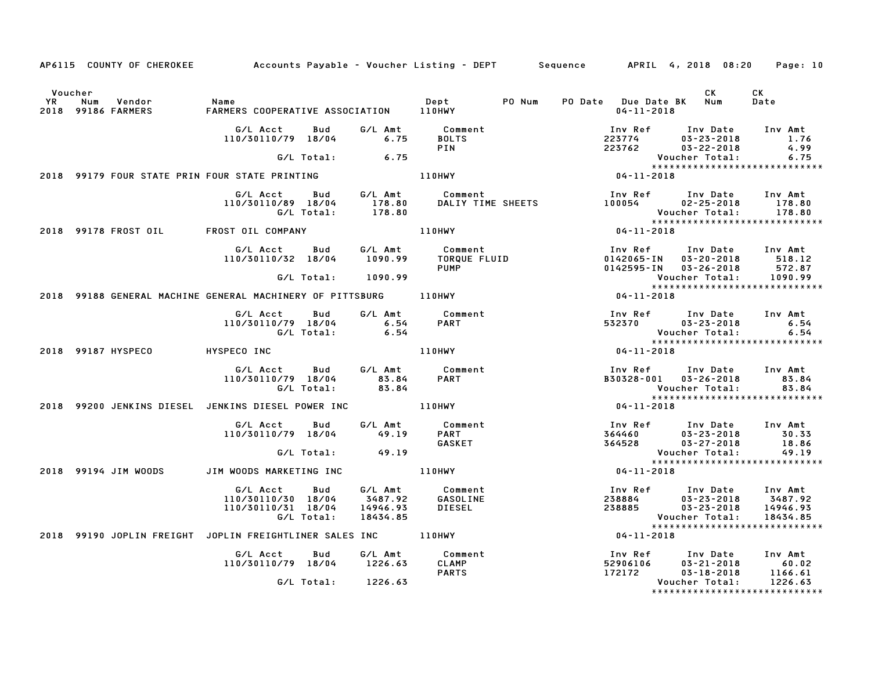|                      |                                     | AP6115 COUNTY OF CHEROKEE Accounts Payable - Voucher Listing - DEPT Sequence APRIL 4, 2018 08:20 |                    |                                            |                                         |        |                                             |                                                                    | Page: 10                                                                     |
|----------------------|-------------------------------------|--------------------------------------------------------------------------------------------------|--------------------|--------------------------------------------|-----------------------------------------|--------|---------------------------------------------|--------------------------------------------------------------------|------------------------------------------------------------------------------|
| Voucher<br><b>YR</b> | Num<br>Vendor<br>2018 99186 FARMERS | Name<br>FARMERS COOPERATIVE ASSOCIATION 110HWY                                                   |                    |                                            | Dept                                    | PO Num | PO Date Due Date BK Num<br>$04 - 11 - 2018$ | CK                                                                 | CK<br>Date                                                                   |
|                      |                                     | G/L Acct<br>110/30110/79 18/04                                                                   | Bud                | G/L Amt<br>6.75                            | Comment<br><b>BOLTS</b><br>PIN          |        | Inv Ref<br>223774<br>223762                 | Inv Date<br>$03 - 23 - 2018$<br>$03 - 22 - 2018$                   | Inv Amt<br>1.76<br>4.99                                                      |
|                      |                                     |                                                                                                  | G/L Total:         | 6.75                                       |                                         |        |                                             | Voucher Total:                                                     | 6.75<br>******************************                                       |
|                      |                                     | 2018 99179 FOUR STATE PRIN FOUR STATE PRINTING                                                   |                    |                                            | <b>110HWY</b>                           |        | $04 - 11 - 2018$                            |                                                                    |                                                                              |
|                      |                                     | G/L Acct<br>110/30110/89 18/04                                                                   | Bud<br>G/L Total:  | G/L Amt<br>178.80<br>178.80                | Comment<br>DALIY TIME SHEETS            |        | Inv Ref                                     | Inv Date<br>100054 02-25-2018<br>Voucher Total:                    | Inv Amt<br>178.80<br>178.80                                                  |
|                      | 2018 99178 FROST OIL                | FROST OIL COMPANY                                                                                |                    |                                            | 110HWY                                  |        | $04 - 11 - 2018$                            |                                                                    | *****************************                                                |
|                      |                                     | G/L Acct<br>110/30110/32 18/04                                                                   | <b>Bud</b>         | G/L Amt<br>1090.99                         | Comment<br>TORQUE FLUID<br><b>PUMP</b>  |        | Inv Ref<br>0142065-IN                       | 03-20-2018<br>0142595-IN 03-26-2018                                | Inv Date Inv Amt<br>518.12<br>572.87                                         |
|                      |                                     |                                                                                                  | G/L Total: 1090.99 |                                            |                                         |        |                                             | Voucher Total:                                                     | 1090.99<br>*****************************                                     |
|                      |                                     | 2018 99188 GENERAL MACHINE GENERAL MACHINERY OF PITTSBURG 110HWY                                 |                    |                                            |                                         |        | 04-11-2018                                  |                                                                    |                                                                              |
|                      |                                     | G/L Acct<br>110/30110/79 18/04                                                                   | Bud<br>G/L Total:  | G/L Amt<br>6.54<br>6.54                    | Comment<br><b>PART</b>                  |        | Inv Ref<br>532370                           | Inv Date<br>$03 - 23 - 2018$<br>Voucher Total:                     | Inv Amt<br>6.54<br>6.54                                                      |
|                      | 2018 99187 HYSPECO                  | HYSPECO INC                                                                                      |                    |                                            | 110HWY                                  |        | $04 - 11 - 2018$                            |                                                                    | *****************************                                                |
|                      |                                     | G/L Acct<br>110/30110/79 18/04                                                                   | Bud<br>G/L Total:  | G/L Amt<br>83.84<br>83.84                  | Comment<br><b>PART</b>                  |        | Inv Ref                                     | Inv Date<br>B30328-001 03-26-2018<br>Voucher Total:                | Inv Amt<br>83.84<br>83.84<br>*****************************                   |
|                      |                                     | 2018 99200 JENKINS DIESEL JENKINS DIESEL POWER INC                                               |                    |                                            | <b>110HWY</b>                           |        | 04-11-2018                                  |                                                                    |                                                                              |
|                      |                                     | G/L Acct<br>110/30110/79 18/04                                                                   | Bud                | G/L Amt<br>49.19                           | Comment<br><b>PART</b><br>GASKET        |        | Inv Ref<br>364460                           | Inv Date<br>$03 - 23 - 2018$<br>364528 03-27-2018                  | Inv Amt<br>30.33<br>18.86                                                    |
|                      |                                     |                                                                                                  | G/L Total:         | 49.19                                      |                                         |        |                                             | Voucher Total:                                                     | 49.19<br>*****************************                                       |
|                      | 2018 99194 JIM WOODS                | JIM WOODS MARKETING INC                                                                          |                    |                                            | 110HWY                                  |        | 04-11-2018                                  |                                                                    |                                                                              |
|                      |                                     | G/L Acct<br>110/30110/30 18/04<br>110/30110/31 18/04                                             | Bud<br>G/L Total:  | G/L Amt<br>3487.92<br>14946.93<br>18434.85 | Comment<br>GASOLINE<br>DIESEL           |        | Inv Ref<br>238884<br>238885                 | Inv Date<br>$03 - 23 - 2018$<br>$03 - 23 - 2018$<br>Voucher Total: | Inv Amt<br>3487.92<br>14946.93<br>18434.85<br>****************************** |
|                      |                                     | 2018 99190 JOPLIN FREIGHT JOPLIN FREIGHTLINER SALES INC 110HWY                                   |                    |                                            |                                         |        | $04 - 11 - 2018$                            |                                                                    |                                                                              |
|                      |                                     | G/L Acct<br>110/30110/79 18/04                                                                   | <b>Bud</b>         | G/L Amt<br>1226.63                         | Comment<br><b>CLAMP</b><br><b>PARTS</b> |        | Inv Ref<br>52906106<br>172172               | Inv Date<br>$03 - 21 - 2018$<br>$03 - 18 - 2018$                   | Inv Amt<br>60.02<br>1166.61                                                  |
|                      |                                     |                                                                                                  | G/L Total:         | 1226.63                                    |                                         |        |                                             | Voucher Total:                                                     | 1226.63<br>*****************************                                     |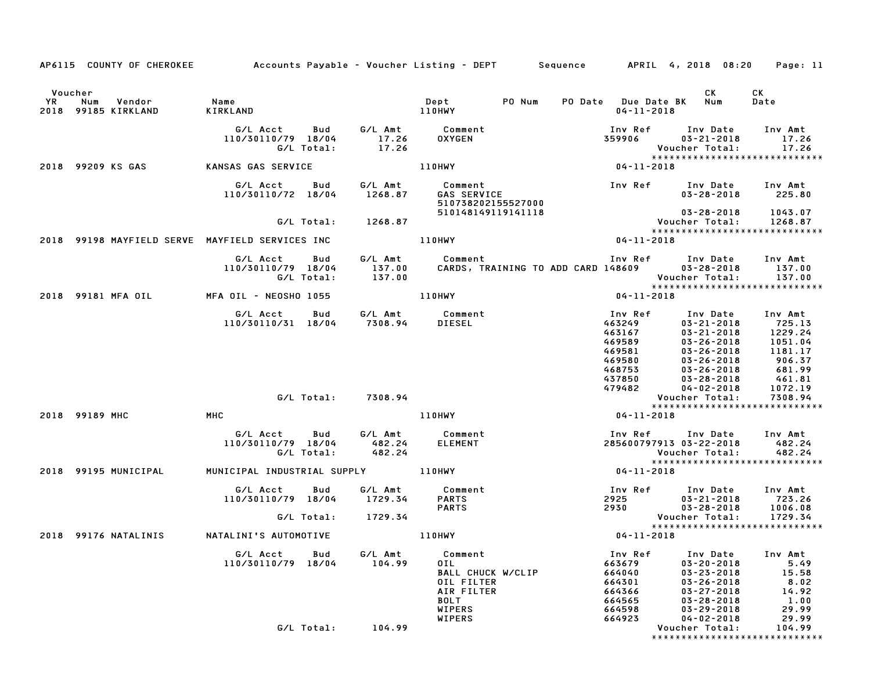|           |                                   |                                                                  |                    | AP6115 COUNTY OF CHEROKEE Accounts Payable - Voucher Listing - DEPT Sequence APRIL 4, 2018 08:20 Page: 11 |                                                                               |                                                                                                                                  |                                                             |
|-----------|-----------------------------------|------------------------------------------------------------------|--------------------|-----------------------------------------------------------------------------------------------------------|-------------------------------------------------------------------------------|----------------------------------------------------------------------------------------------------------------------------------|-------------------------------------------------------------|
| Voucher   |                                   |                                                                  |                    |                                                                                                           |                                                                               | CK                                                                                                                               | CK                                                          |
| <b>YR</b> | Num Vendor<br>2018 99185 KIRKLAND | <b>Name</b><br>KIRKLAND                                          |                    | Dept PO Num<br>110HWY                                                                                     | PO Date Due Date BK Num<br>04-11-2018                                         |                                                                                                                                  | Date                                                        |
|           |                                   | G/L Acct Bud<br>110/30110/79 18/04<br>G/L Total:                 | 17.26              | G/L Amt Comment<br>17.26 OXYGEN                                                                           | Inv Ref Inv Date Inv Amt<br>359906                                            | 03-21-2018<br>Voucher Total:                                                                                                     | 17.26<br>17.26                                              |
|           | 2018 99209 KS GAS                 | KANSAS GAS SERVICE                                               |                    | 110HWY                                                                                                    | $04 - 11 - 2018$                                                              |                                                                                                                                  |                                                             |
|           |                                   | G/L Acct Bud<br>110/30110/72 18/04 1268.87                       |                    | 510738202155527000                                                                                        |                                                                               | $03 - 28 - 2018$ 225.80                                                                                                          |                                                             |
|           |                                   |                                                                  | G/L Total: 1268.87 | 510148149119141118                                                                                        |                                                                               |                                                                                                                                  |                                                             |
|           |                                   | 2018 99198 MAYFIELD SERVE MAYFIELD SERVICES INC                  |                    | 110HWY                                                                                                    | $04 - 11 - 2018$                                                              |                                                                                                                                  |                                                             |
|           |                                   | G/L Acct Bud<br>110/30110/79 18/04<br>G/L Total:                 |                    | G/L Amt Comment                                                                                           | Inv Ref Inv Date Inv Amt                                                      |                                                                                                                                  |                                                             |
|           | 2018 99181 MFA OIL                | MFA OIL - NEOSHO 1055 110HWY                                     |                    |                                                                                                           | $04 - 11 - 2018$                                                              |                                                                                                                                  |                                                             |
|           |                                   | G/L Acct Bud G/L Amt Comment<br>$110/30110/31$ $18/04$ $7308.94$ |                    | DIESEL                                                                                                    | Inv Ref<br>463249<br>463167<br>469589<br>469581<br>469580<br>468753<br>437850 | Inv Date<br>$03 - 21 - 2018$<br>03-21-2018 1229.24<br>03-26-2018<br>03-26-2018<br>03-26-2018<br>03-26-2018<br>03-28-2018         | Inv Amt<br>725.13<br>1051.04<br>1181.17<br>906.37<br>681.99 |
|           |                                   | G/L Total: 7308.94                                               |                    |                                                                                                           | 479482                                                                        | 04-02-2018<br>Voucher Total:                                                                                                     | 461.81<br>1072.19<br>7308.94<br>7308.94                     |
|           | 2018 99189 MHC                    | MHC                                                              |                    | 110HWY                                                                                                    | 04-11-2018                                                                    |                                                                                                                                  | *****************************                               |
|           |                                   | G/L Acct Bud<br>110/30110/79 18/04<br>G/L Total:                 | 482.24             | G/L Amt          Comment<br>482.24       ELEMENT                                                          | Inv Ref      Inv Date     Inv Amt<br>285600797913 03-22-2018 482.24           | Voucher Total:                                                                                                                   | 482.24<br>*****************************                     |
|           | 2018 99195 MUNICIPAL              |                                                                  |                    |                                                                                                           | $04 - 11 - 2018$                                                              |                                                                                                                                  |                                                             |
|           |                                   | G/L Acct<br><b>Bud</b><br>110/30110/79 18/04 1729.34             |                    | G/L Amt Comment<br><b>PARTS</b><br><b>PARTS</b>                                                           | Inv Ref Inv Date Inv Amt<br>2925<br>2930                                      | 03-21-2018 723.26<br>03-28-2018                                                                                                  | 1006.08                                                     |
|           |                                   | G/L Total:                                                       | 1729.34            |                                                                                                           |                                                                               | Voucher Total:                                                                                                                   | 1729.34<br>*****************************                    |
|           |                                   |                                                                  |                    |                                                                                                           | 04-11-2018                                                                    |                                                                                                                                  |                                                             |
|           |                                   | G/L Acct<br>Bud<br>110/30110/79 18/04                            | G/L Amt<br>104.99  | Comment<br>OIL<br>BALL CHUCK W/CLIP<br>OIL FILTER<br>AIR FILTER<br><b>BOLT</b><br>WIPERS                  | Inv Ref<br>663679<br>664040<br>664301<br>664366<br>664565<br>664598           | Inv Date<br>$03 - 20 - 2018$<br>$03 - 23 - 2018$<br>$03 - 26 - 2018$<br>$03 - 27 - 2018$<br>$03 - 28 - 2018$<br>$03 - 29 - 2018$ | Inv Amt<br>5.49<br>15.58<br>8.02<br>14.92<br>1.00<br>29.99  |
|           |                                   | G/L Total:                                                       | 104.99             | <b>WIPERS</b>                                                                                             | 664923                                                                        | $04 - 02 - 2018$<br>Voucher Total:                                                                                               | 29.99<br>104.99<br>*****************************            |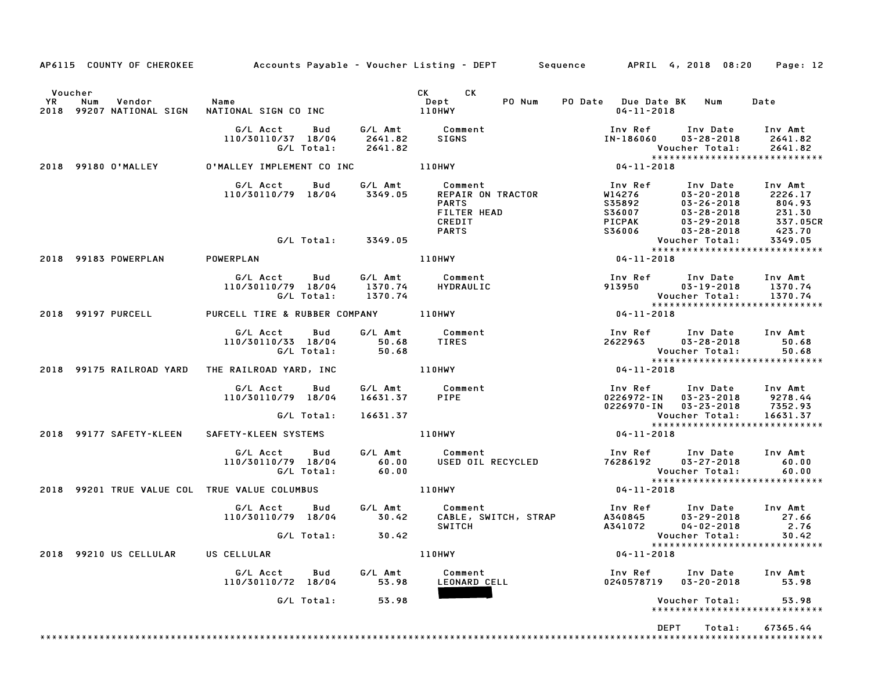| Voucher<br>YR | Num<br>Vendor                                 | Name                                 |            |                    | CK CK<br>PO Num<br>Dept          | PO Date Due Date BK Num                                                 |                                                                           | Date                |
|---------------|-----------------------------------------------|--------------------------------------|------------|--------------------|----------------------------------|-------------------------------------------------------------------------|---------------------------------------------------------------------------|---------------------|
|               | 2018 99207 NATIONAL SIGN                      | NATIONAL SIGN CO INC                 |            |                    | 110HWY                           | $04 - 11 - 2018$                                                        |                                                                           |                     |
|               |                                               | G/L Acct   Bud                       |            |                    | G/L Amt Comment                  |                                                                         | Inv Ref      Inv Date     Inv Amt                                         |                     |
|               |                                               | 110/30110/37 18/04                   | G/L Total: | 2641.82<br>2641.82 | SIGNS                            | IN-186060                                                               | 03-28-2018<br>Voucher Total:                                              | 2641.82<br>2641.82  |
|               |                                               |                                      |            |                    |                                  | $754$<br>$***$<br>04-11-2018                                            | *****************************                                             |                     |
|               | 2018 99180 O'MALLEY                           |                                      |            |                    | 0'MALLEY IMPLEMENT CO INC 110HWY |                                                                         |                                                                           |                     |
|               |                                               | G/L Acct                             | <b>Bud</b> |                    | G/L Amt Comment                  | Inv Ref                                                                 | Inv Date Inv Amt                                                          |                     |
|               |                                               | 110/30110/79 18/04                   |            | 3349.05            | <b>REPAIR ON TRACTOR</b>         | W14276                                                                  | $03 - 20 - 2018$                                                          | 2226.17             |
|               |                                               |                                      |            |                    | <b>PARTS</b><br>FILTER HEAD      | S35892<br><b>S36007</b>                                                 | 03-26-2018<br>03-28-2018 231.30<br>03-29-2018 337.05<br>03-28-2018 423.70 |                     |
|               |                                               |                                      |            |                    | CREDIT                           | PICPAK                                                                  |                                                                           | 337.05CR            |
|               |                                               |                                      |            |                    | <b>PARTS</b>                     | S36006                                                                  |                                                                           |                     |
|               |                                               |                                      |            | G/L Total: 3349.05 |                                  |                                                                         | Voucher Total:                                                            | 3349.05             |
|               |                                               |                                      |            |                    |                                  |                                                                         | *****************************                                             |                     |
|               | 2018 99183 POWERPLAN                          | POWERPLAN                            |            |                    | 110HWY                           | $04 - 11 - 2018$                                                        |                                                                           |                     |
|               |                                               | G/L Acct Bud                         |            | G/L Amt            | Comment                          |                                                                         | Inv Ref      Inv Date     Inv Amt                                         |                     |
|               |                                               | 110/30110/79 18/04                   |            | 1370.74            | HYDRAULIC                        | 913950                                                                  | $03 - 19 - 2018$                                                          | 1370.74             |
|               |                                               |                                      | G/L Total: | 1370.74            |                                  |                                                                         | Voucher Total:                                                            | 1370.74             |
|               | 2018 99197 PURCELL                            | PURCELL TIRE & RUBBER COMPANY 110HWY |            |                    |                                  | Vouc<br>*****<br>04-11-2018                                             | *****************************                                             |                     |
|               |                                               | G/L Acct                             | Bud        | G/L Amt            | Comment                          |                                                                         | Inv Ref Inv Date Inv Amt                                                  |                     |
|               |                                               | 110/30110/33 18/04                   |            | 50.68              | TIRES                            | 2622963                                                                 | 03-28-2018                                                                | 50.68               |
|               |                                               |                                      | G/L Total: | 50.68              |                                  |                                                                         | Voucher Total:                                                            | 50.68               |
|               |                                               |                                      |            |                    |                                  |                                                                         | *****************************                                             |                     |
|               | 2018 99175 RAILROAD YARD                      | THE RAILROAD YARD, INC               |            |                    | 110HWY                           | $04 - 11 - 2018$                                                        |                                                                           |                     |
|               |                                               | G/L Acct                             | Bud        |                    | G/L Amt Comment<br>16631.37 PIPE |                                                                         | Inv Ref      Inv Date     Inv Amt                                         |                     |
|               |                                               | 110/30110/79 18/04                   |            | 16631.37           |                                  |                                                                         | 0226972-IN 03-23-2018 9278.44                                             |                     |
|               |                                               |                                      | G/L Total: | 16631.37           |                                  |                                                                         |                                                                           | 7352.93<br>16631.37 |
|               |                                               |                                      |            |                    |                                  | - - - - - - - - Voucher Total:<br>:Voucher Total<br>:****************** | *****************************                                             |                     |
|               | 2018 99177 SAFETY-KLEEN                       | SAFETY-KLEEN SYSTEMS                 |            |                    | <b>110HWY</b>                    | $04 - 11 - 2018$                                                        |                                                                           |                     |
|               |                                               | G/L Acct                             | Bud        |                    | G/L Amt Comment                  |                                                                         | Inv Ref      Inv Date     Inv Amt                                         |                     |
|               |                                               | 110/30110/79 18/04                   |            | 60.00              | USED OIL RECYCLED                | $76286192$ $03-27-2018$                                                 |                                                                           | 60.00               |
|               |                                               |                                      | G/L Total: | 60.00              |                                  |                                                                         | Voucher Total:<br>*****************************                           | 60.00               |
|               | 2018 99201 TRUE VALUE COL TRUE VALUE COLUMBUS |                                      |            |                    | 110HWY                           | $04 - 11 - 2018$                                                        |                                                                           |                     |
|               |                                               | G/L Acct                             |            |                    | Bud G/L Amt Comment              |                                                                         | Inv Ref Inv Date Inv Amt                                                  |                     |
|               |                                               | 110/30110/79 18/04 30.42             |            |                    | CABLE, SWITCH, STRAP             | A340845                                                                 | 03-29-2018                                                                | 27.66               |
|               |                                               |                                      |            |                    | <b>SWITCH</b>                    | A341072                                                                 | 04-02-2018                                                                | 2.76                |
|               |                                               |                                      |            | G/L Total: 30.42   |                                  |                                                                         |                                                                           |                     |
|               | 2018 99210 US CELLULAR                        | US CELLULAR                          |            |                    | 110HWY                           | $04 - 11 - 2018$                                                        | *****************************                                             |                     |
|               |                                               | G/L Acct Bud                         |            | G/L Amt            | Comment                          |                                                                         | Inv Ref Inv Date                                                          | Inv Amt             |
|               |                                               | 110/30110/72 18/04                   |            | 53.98              | LEONARD CELL                     |                                                                         | 0240578719  03-20-2018                                                    | 53.98               |
|               |                                               |                                      | G/L Total: | 53.98              |                                  |                                                                         | Voucher Total:<br>*****************************                           | 53.98               |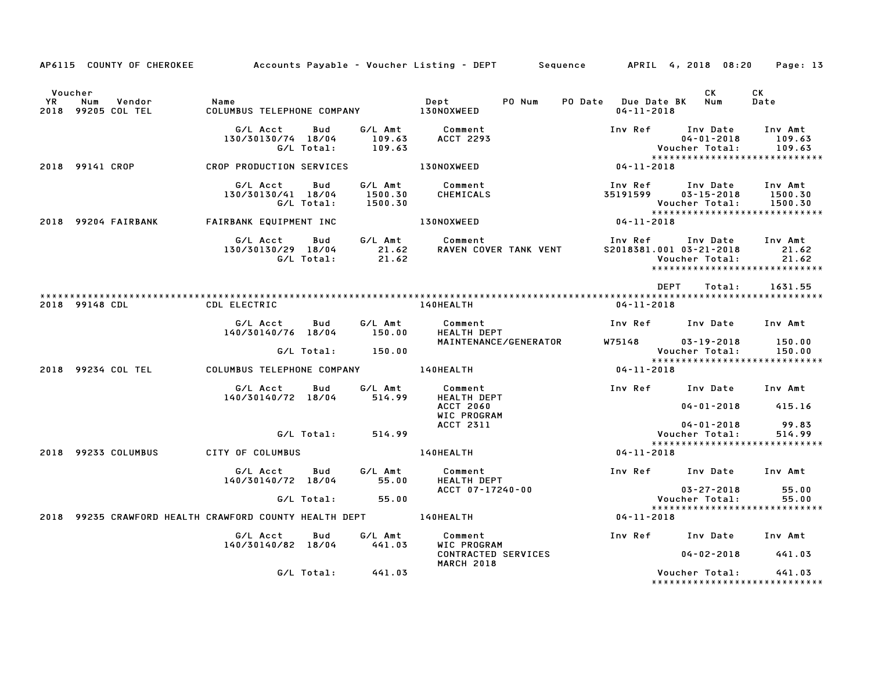|                                                                  |                                      |                   |                               | AP6115 COUNTY OF CHEROKEE Accounts Payable – Voucher Listing – DEPT Sequence APRIL 4, 2018 08:20 Page: 13 |                                             |                                                        |                                                            |
|------------------------------------------------------------------|--------------------------------------|-------------------|-------------------------------|-----------------------------------------------------------------------------------------------------------|---------------------------------------------|--------------------------------------------------------|------------------------------------------------------------|
| Voucher<br><b>YR</b><br>Num<br>Vendor<br>2018 99205 COL TEL      | Name                                 |                   |                               | PO Num<br>Dept                                                                                            | PO Date Due Date BK Num<br>$04 - 11 - 2018$ | CK                                                     | CK<br>Date                                                 |
|                                                                  | G/L Acct<br>130/30130/74 18/04       | Bud<br>G/L Total: | 109.63<br>109.63              | G/L Amt Comment<br><b>ACCT 2293</b>                                                                       | Inv Ref Inv Date                            | $04 - 01 - 2018$<br>Voucher Total:                     | Inv Amt<br>109.63<br>109.63                                |
| 2018 99141 CROP                                                  | CROP PRODUCTION SERVICES             |                   |                               | <b>130NOXWEED</b>                                                                                         | $04 - 11 - 2018$                            |                                                        | *****************************                              |
|                                                                  | G/L Acct<br>130/30130/41 18/04       | Bud<br>G/L Total: | G/L Amt<br>1500.30<br>1500.30 | Comment<br>CHEMICALS                                                                                      | Inv Ref<br>35191599                         | Inv Date Inv Amt<br>$03 - 15 - 2018$<br>Voucher Total: | 1500.30<br>1500.30                                         |
| 2018 99204 FAIRBANK                                              | FAIRBANK EQUIPMENT INC               |                   |                               | 130NOXWEED                                                                                                | $04 - 11 - 2018$                            |                                                        | ******************************                             |
|                                                                  | G/L Acct<br>130/30130/29 18/04       | Bud<br>G/L Total: | G/L Amt<br>21.62<br>21.62     | Comment<br><b>RAVEN COVER TANK VENT</b>                                                                   | Inv Ref Inv Date<br>S2018381.001 03-21-2018 | Voucher Total:                                         | Inv Amt<br>21.62<br>21.62<br>***************************** |
|                                                                  |                                      |                   |                               |                                                                                                           | DEPT                                        | Total:                                                 | 1631.55                                                    |
| 2018 99148 CDL                                                   | CDL ELECTRIC                         |                   |                               | <b>140HEALTH</b>                                                                                          | 04-11-2018                                  |                                                        |                                                            |
|                                                                  | G/L Acct<br>140/30140/76 18/04       | Bud               | G/L Amt<br>150.00             | Comment<br>HEALTH DEPT                                                                                    | Inv Ref      Inv Date     Inv Amt           |                                                        |                                                            |
|                                                                  |                                      |                   | G/L Total: 150.00             | MAINTENANCE/GENERATOR                                                                                     | W75148                                      | 03-19-2018<br>Voucher Total:                           | 150.00<br>150.00                                           |
| 2018 99234 COL TEL                                               | COLUMBUS TELEPHONE COMPANY 140HEALTH |                   |                               |                                                                                                           | $04 - 11 - 2018$                            |                                                        |                                                            |
|                                                                  | G/L Acct<br>140/30140/72 18/04       | Bud               | G/L Amt<br>514.99             | Comment<br>HEALTH DEPT<br><b>ACCT 2060</b>                                                                | Inv Ref Inv Date Inv Amt                    | $04 - 01 - 2018$                                       | 415.16                                                     |
|                                                                  |                                      |                   |                               | WIC PROGRAM<br>ACCT 2311                                                                                  |                                             | $04 - 01 - 2018$                                       | 99.83                                                      |
|                                                                  |                                      | G/L Total:        | 514.99                        |                                                                                                           |                                             | Voucher Total:                                         | 514.99<br>*****************************                    |
| 2018 99233 COLUMBUS                                              | CITY OF COLUMBUS                     |                   |                               | <b>140HEALTH</b>                                                                                          | $04 - 11 - 2018$                            |                                                        |                                                            |
|                                                                  | G/L Acct<br>140/30140/72 18/04       | Bud               | G/L Amt<br>55.00              | Comment<br><b>HEALTH DEPT</b>                                                                             | Inv Ref Inv Date Inv Amt                    |                                                        |                                                            |
|                                                                  |                                      | G/L Total:        | 55.00                         | ACCT 07-17240-00                                                                                          |                                             | $03 - 27 - 2018$<br>Voucher Total:                     | 55.00<br>55.00                                             |
| 2018 99235 CRAWFORD HEALTH CRAWFORD COUNTY HEALTH DEPT 140HEALTH |                                      |                   |                               |                                                                                                           | $04 - 11 - 2018$                            |                                                        | ******************************                             |
|                                                                  | G/L Acct<br>140/30140/82 18/04       | Bud               | G/L Amt<br>441.03             | Comment<br>WIC PROGRAM                                                                                    | Inv Ref Inv Date Inv Amt                    |                                                        |                                                            |
|                                                                  |                                      |                   |                               | CONTRACTED SERVICES<br><b>MARCH 2018</b>                                                                  |                                             | $04 - 02 - 2018$                                       | 441.03                                                     |
|                                                                  |                                      | G/L Total:        | 441.03                        |                                                                                                           |                                             | Voucher Total:                                         | 441.03<br>*****************************                    |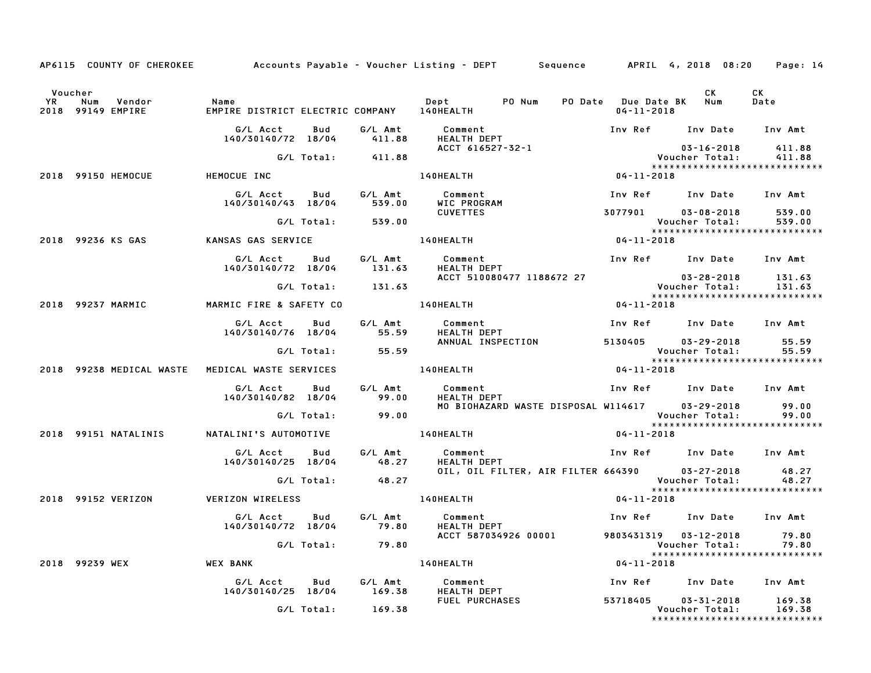|                      | AP6115 COUNTY OF CHEROKEE Accounts Payable - Voucher Listing - DEPT Sequence APRIL 4, 2018 08:20 Page: 14 |                                                    |            |                   |                               |                                     |                                         |                                                                     |                  |
|----------------------|-----------------------------------------------------------------------------------------------------------|----------------------------------------------------|------------|-------------------|-------------------------------|-------------------------------------|-----------------------------------------|---------------------------------------------------------------------|------------------|
| Voucher<br><b>YR</b> | Num<br>Vendor<br>2018 99149 EMPIRE                                                                        | Name<br>EMPIRE DISTRICT ELECTRIC COMPANY 140HEALTH |            |                   | Dept PO Num                   |                                     | PO Date Due Date BK<br>$04 - 11 - 2018$ | CK<br>Num                                                           | CK<br>Date       |
|                      |                                                                                                           | G/L Acct<br>140/30140/72 18/04                     | Bud        | G/L Amt<br>411.88 | Comment<br><b>HEALTH DEPT</b> |                                     |                                         | Inv Ref Inv Date Inv Amt                                            |                  |
|                      |                                                                                                           |                                                    | G/L Total: | 411.88            | ACCT 616527-32-1              |                                     |                                         | $03 - 16 - 2018$<br>Voucher Total:                                  | 411.88<br>411.88 |
|                      | 2018 99150 HEMOCUE                                                                                        | HEMOCUE INC                                        |            |                   | 140HEALTH                     |                                     | $04 - 11 - 2018$                        | *****************************                                       |                  |
|                      |                                                                                                           | G/L Acct<br>140/30140/43 18/04                     | Bud        | G/L Amt<br>539.00 | Comment<br>WIC PROGRAM        |                                     |                                         | Inv Ref Inv Date Inv Amt                                            |                  |
|                      |                                                                                                           |                                                    | G/L Total: | 539.00            | <b>CUVETTES</b>               |                                     | 3077901                                 | $03 - 08 - 2018$<br>Voucher Total:                                  | 539.00<br>539.00 |
|                      | 2018 99236 KS GAS                                                                                         | KANSAS GAS SERVICE                                 |            |                   | <b>140HEALTH</b>              |                                     | $04 - 11 - 2018$                        | *****************************                                       |                  |
|                      |                                                                                                           |                                                    |            |                   |                               |                                     |                                         |                                                                     |                  |
|                      |                                                                                                           | G/L Acct<br>140/30140/72 18/04                     | Bud        | G/L Amt<br>131.63 | Comment<br>HEALTH DEPT        |                                     |                                         | Inv Ref Inv Date Inv Amt                                            |                  |
|                      |                                                                                                           |                                                    | G/L Total: | 131.63            |                               | ACCT 510080477 1188672 27           |                                         |                                                                     | 131.63<br>131.63 |
|                      | 2018 99237 MARMIC                                                                                         | MARMIC FIRE & SAFETY CO                            |            |                   | 140HEALTH                     |                                     | 04-11-2018                              | *****************************                                       |                  |
|                      |                                                                                                           | G/L Acct<br>140/30140/76 18/04                     | Bud        | G/L Amt<br>55.59  | Comment<br><b>HEALTH DEPT</b> |                                     |                                         | Inv Ref Inv Date Inv Amt                                            |                  |
|                      |                                                                                                           |                                                    | G/L Total: | 55.59             |                               | ANNUAL INSPECTION                   | 5130405                                 | 03-29-2018<br>Voucher Total:                                        | 55.59<br>55.59   |
|                      |                                                                                                           |                                                    |            |                   |                               |                                     | $04 - 11 - 2018$                        | *****************************                                       |                  |
|                      | 2018 99238 MEDICAL WASTE                                                                                  | MEDICAL WASTE SERVICES                             |            |                   | <b>140HEALTH</b>              |                                     |                                         |                                                                     |                  |
|                      |                                                                                                           | G/L Acct<br>140/30140/82 18/04                     | Bud        | G/L Amt<br>99.00  | Comment<br>HEALTH DEPT        |                                     |                                         | Inv Ref Inv Date Inv Amt                                            |                  |
|                      |                                                                                                           |                                                    | G/L Total: | 99.00             |                               | MO BIOHAZARD WASTE DISPOSAL W114617 |                                         | 03-29-2018<br>Voucher Total:                                        | 99.00<br>99.00   |
|                      | 2018 99151 NATALINIS                                                                                      | NATALINI'S AUTOMOTIVE                              |            |                   | <b>140HEALTH</b>              |                                     | 04-11-2018                              | *****************************                                       |                  |
|                      |                                                                                                           | G/L Acct<br>140/30140/25 18/04                     | Bud        | G/L Amt<br>48.27  | Comment<br>HEALTH DEPT        |                                     |                                         | Inv Ref      Inv Date     Inv Amt                                   |                  |
|                      |                                                                                                           |                                                    | G/L Total: | 48.27             |                               | OIL, OIL FILTER, AIR FILTER 664390  |                                         | 03-27-2018<br>Voucher Total:                                        | 48.27<br>48.27   |
|                      | 2018 99152 VERIZON                                                                                        | VERIZON WIRELESS                                   |            |                   | 140HEALTH                     |                                     | $04 - 11 - 2018$                        | *****************************                                       |                  |
|                      |                                                                                                           | G/L Acct<br>140/30140/72 18/04                     | Bud        | G/L Amt<br>79.80  | Comment<br>HEALTH DEPT        |                                     | Inv Ref                                 | Inv Date Inv Amt                                                    |                  |
|                      |                                                                                                           |                                                    | G/L Total: | 79.80             | ACCT 587034926 00001          |                                     |                                         | 9803431319  03-12-2018  79.80<br>Voucher Total:                     | 79.80            |
|                      | 2018 99239 WEX                                                                                            | <b>WEX BANK</b>                                    |            |                   | 140HEALTH                     |                                     | $04 - 11 - 2018$                        | ******************************                                      |                  |
|                      |                                                                                                           | G/L Acct<br>140/30140/25 18/04                     | Bud        | G/L Amt<br>169.38 | Comment<br>HEALTH DEPT        |                                     | Inv Ref                                 | Inv Date                                                            | Inv Amt          |
|                      |                                                                                                           |                                                    | G/L Total: | 169.38            | <b>FUEL PURCHASES</b>         |                                     | 53718405                                | $03 - 31 - 2018$<br>Voucher Total:<br>***************************** | 169.38<br>169.38 |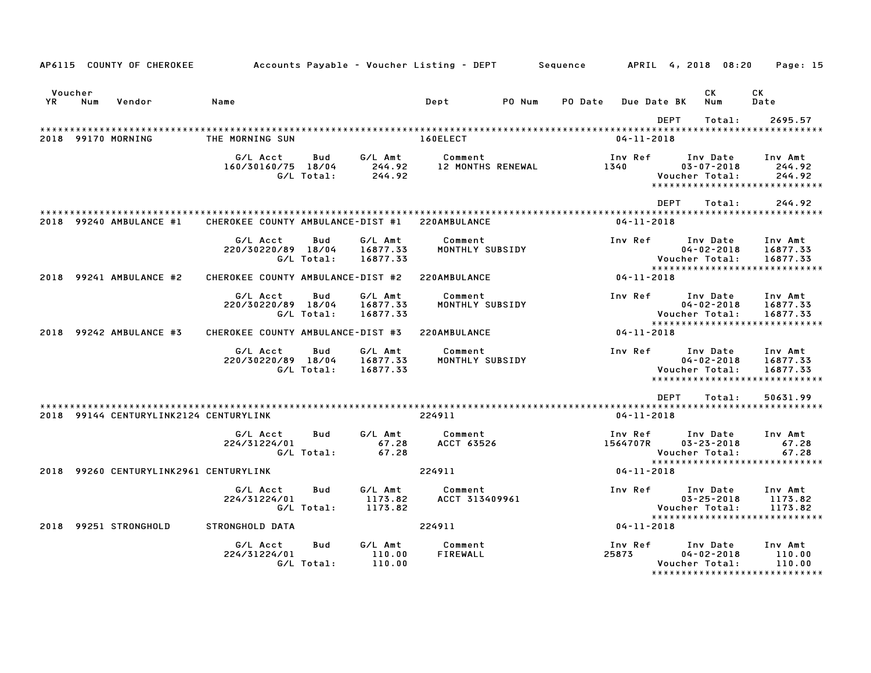|         |     | AP6115 COUNTY OF CHEROKEE              | Accounts Payable – Voucher Listing – DEPT         Sequence |                   |                                 |                       |                          |         |                     |             | APRIL 4, 2018 08:20                            |        | Page: 15                                                          |  |
|---------|-----|----------------------------------------|------------------------------------------------------------|-------------------|---------------------------------|-----------------------|--------------------------|---------|---------------------|-------------|------------------------------------------------|--------|-------------------------------------------------------------------|--|
| Voucher |     |                                        |                                                            |                   |                                 |                       |                          |         |                     |             | СK                                             |        | СK                                                                |  |
| YR      | Num | Vendor                                 | Name                                                       |                   |                                 | Dept                  | PO Num                   | PO Date | Due Date BK         |             | Num                                            |        | Date                                                              |  |
|         |     |                                        |                                                            |                   |                                 |                       |                          |         |                     | <b>DEPT</b> |                                                | Total: | 2695.57                                                           |  |
|         |     | 2018 99170 MORNING                     | THE MORNING SUN                                            |                   |                                 | 160ELECT              |                          |         | $04 - 11 - 2018$    |             |                                                |        |                                                                   |  |
|         |     |                                        | G/L Acct<br>160/30160/75 18/04                             | Bud<br>G/L Total: | G/L Amt<br>244.92<br>244.92     | Comment               | <b>12 MONTHS RENEWAL</b> |         | Inv Ref<br>1340     |             | Inv Date<br>$03 - 07 - 2018$<br>Voucher Total: |        | Inv Amt<br>244.92<br>244.92<br>*****************************      |  |
|         |     |                                        |                                                            |                   |                                 |                       |                          |         |                     | <b>DEPT</b> |                                                | Total: | 244.92                                                            |  |
|         |     | 2018 99240 AMBULANCE #1                | CHEROKEE COUNTY AMBULANCE-DIST #1                          |                   |                                 | 220AMBULANCE          |                          |         | $04 - 11 - 2018$    |             |                                                |        |                                                                   |  |
|         |     |                                        | G/L Acct<br>220/30220/89 18/04                             | Bud<br>G/L Total: | G/L Amt<br>16877.33<br>16877.33 | Comment               | MONTHLY SUBSIDY          |         | Inv Ref             |             | Inv Date<br>$04 - 02 - 2018$<br>Voucher Total: |        | Inv Amt<br>16877.33<br>16877.33<br>****************************** |  |
|         |     | 2018 99241 AMBULANCE #2                | CHEROKEE COUNTY AMBULANCE-DIST #2                          |                   |                                 | 220AMBULANCE          |                          |         | 04-11-2018          |             |                                                |        |                                                                   |  |
|         |     |                                        | G/L Acct<br>220/30220/89 18/04                             | Bud<br>G/L Total: | G/L Amt<br>16877.33<br>16877.33 | Comment               | MONTHLY SUBSIDY          |         | Inv Ref             |             | Inv Date<br>$04 - 02 - 2018$<br>Voucher Total: |        | Inv Amt<br>16877.33<br>16877.33<br>*****************************  |  |
|         |     | 2018 99242 AMBULANCE #3                | CHEROKEE COUNTY AMBULANCE-DIST #3                          |                   |                                 | 220AMBULANCE          |                          |         | $04 - 11 - 2018$    |             |                                                |        |                                                                   |  |
|         |     |                                        | G/L Acct<br>220/30220/89 18/04                             | Bud<br>G/L Total: | G/L Amt<br>16877.33<br>16877.33 | Comment               | MONTHLY SUBSIDY          |         | Inv Ref             |             | Inv Date<br>$04 - 02 - 2018$<br>Voucher Total: |        | Inv Amt<br>16877.33<br>16877.33<br>****************************** |  |
|         |     |                                        |                                                            |                   |                                 |                       |                          |         |                     | <b>DEPT</b> |                                                | Total: | 50631.99                                                          |  |
|         |     | 2018 99144 CENTURYLINK2124 CENTURYLINK |                                                            |                   |                                 | 224911                |                          |         | $04 - 11 - 2018$    |             |                                                |        |                                                                   |  |
|         |     |                                        | G/L Acct<br>224/31224/01                                   | Bud<br>G/L Total: | G/L Amt<br>67.28<br>67.28       | Comment<br>ACCT 63526 |                          |         | Inv Ref<br>1564707R |             | Inv Date<br>$03 - 23 - 2018$<br>Voucher Total: |        | Inv Amt<br>67.28<br>67.28<br>*****************************        |  |
| 2018    |     | 99260 CENTURYLINK2961 CENTURYLINK      |                                                            |                   |                                 | 224911                |                          |         | $04 - 11 - 2018$    |             |                                                |        |                                                                   |  |
|         |     |                                        | G/L Acct<br>224/31224/01                                   | Bud<br>G/L Total: | G/L Amt<br>1173.82<br>1173.82   | Comment               | ACCT 313409961           |         | Inv Ref             |             | Inv Date<br>$03 - 25 - 2018$<br>Voucher Total: |        | Inv Amt<br>1173.82<br>1173.82<br>*****************************    |  |
| 2018    |     | 99251 STRONGHOLD                       | STRONGHOLD DATA                                            |                   |                                 | 224911                |                          |         | $04 - 11 - 2018$    |             |                                                |        |                                                                   |  |
|         |     |                                        | G/L Acct<br>224/31224/01                                   | Bud<br>G/L Total: | G/L Amt<br>110.00<br>110.00     | Comment<br>FIREWALL   |                          |         | Inv Ref<br>25873    |             | Inv Date<br>$04 - 02 - 2018$<br>Voucher Total: |        | Inv Amt<br>110.00<br>110.00<br>******************************     |  |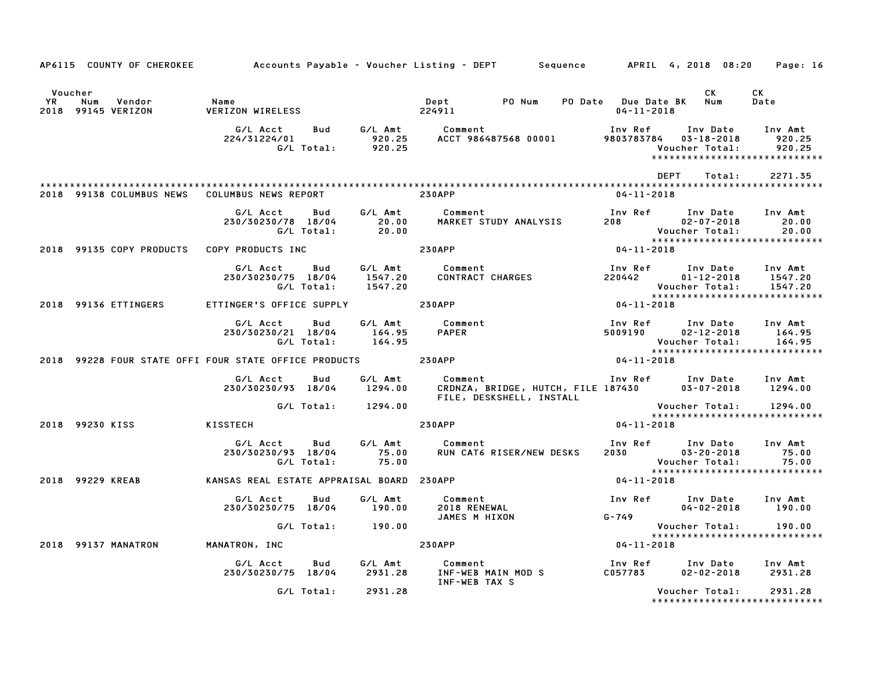|                      |                                            |                                                                          |                           | AP6115 COUNTY OF CHEROKEE Accounts Payable - Voucher Listing - DEPT Sequence APRIL 4, 2018 08:20 Page: 16                                                   |                                                                                                                                                 |                                                                          |                             |
|----------------------|--------------------------------------------|--------------------------------------------------------------------------|---------------------------|-------------------------------------------------------------------------------------------------------------------------------------------------------------|-------------------------------------------------------------------------------------------------------------------------------------------------|--------------------------------------------------------------------------|-----------------------------|
| Voucher<br><b>YR</b> | Num<br>Vendor<br>2018 99145 VERIZON        | Name<br><b>VERIZON WIRELESS</b>                                          |                           | Dept PO Num PO Date Due Date BK Num<br>224911                                                                                                               | $04 - 11 - 2018$                                                                                                                                | CK                                                                       | CK<br>Date                  |
|                      |                                            | G/L Acct                                                                 |                           | Bud G/L Amt Comment<br>111 111 11224/01 1111 11224/31224/01 920.25<br>G/L Total: 920.25 ACCT 986487568 00001 9803783784 03-18-2018<br>!Voucher Total        | Inv Ref                                                                                                                                         | Inv Date Inv Amt<br>*****************************                        | 920.25<br>920.25            |
|                      |                                            | 2018 99138 COLUMBUS NEWS COLUMBUS NEWS REPORT 230APP                     |                           |                                                                                                                                                             | DEPT<br>04-11-2018                                                                                                                              | Total:                                                                   | 2271.35                     |
|                      |                                            | G/L Acct<br>Bud<br>230/30230/78 18/04 20.00<br>G/L Total: 20.00          |                           | G/L Amt Comment<br>COMMENT<br>MARKET STUDY ANALYSIS                                                                                                         | Inv Ref       Inv Date     Inv Amt<br>208                 02-07-2018            20.00<br>Voucher Total: 20.00<br>****************************** |                                                                          |                             |
|                      | 2018 99135 COPY PRODUCTS COPY PRODUCTS INC |                                                                          | <b>230APP</b>             |                                                                                                                                                             | $04 - 11 - 2018$                                                                                                                                |                                                                          |                             |
|                      |                                            | G/L Acct Bud G/L Amt Comment<br>230/30230/75 18/04 1547.20<br>G/L Total: | 1547.20                   | COMMENT<br>CONTRACT CHARGES                                                                                                                                 | Inv Ref      Inv Date     Inv Amt<br>220442 01-12-2018 1547.20                                                                                  | Voucher Total:<br><b>Voucner iotal.</b><br>***************************** | 1547.20                     |
|                      | 2018 99136 ETTINGERS                       | ETTINGER'S OFFICE SUPPLY                                                 |                           | <b>230APP</b>                                                                                                                                               | $04 - 11 - 2018$                                                                                                                                |                                                                          |                             |
|                      |                                            | G/L Acct<br>Bud<br>230/30230/21 18/04<br>G/L Total: 164.95               | 164.95                    | G/L Amt Comment<br><b>PAPER</b>                                                                                                                             | Inv Ref      Inv Date<br>5009190        02–12–2018                                                                                              | Voucher Total:                                                           | Inv Amt<br>164.95<br>164.95 |
|                      |                                            |                                                                          |                           | 2018 99228 FOUR STATE OFFI FOUR STATE OFFICE PRODUCTS 230APP 2018 2018 2019                                                                                 |                                                                                                                                                 |                                                                          |                             |
|                      |                                            | G/L Acct Bud<br>230/30230/93 18/04 1294.00                               | G/L Amt                   | Comment                                  Inv Ref       Inv Date     Inv Amt<br>CRDNZA, BRIDGE, HUTCH, FILE 187430         03-07-2018     1294.00<br>Comment |                                                                                                                                                 |                                                                          |                             |
|                      |                                            | G/L Total: 1294.00                                                       |                           |                                                                                                                                                             |                                                                                                                                                 | *****************************                                            |                             |
|                      | 2018 99230 KISS                            | <b>Example 2</b> KISSTECH                                                |                           | <b>230APP</b>                                                                                                                                               | 04-11-2018                                                                                                                                      |                                                                          |                             |
|                      |                                            | G/L Acct Bud<br>230/30230/93 18/04<br>G/L Total:                         | G/L Amt<br>75.00<br>75.00 | Comment<br>RUN CAT6 RISER/NEW DESKS                                                                                                                         | Inv Ref Inv Date<br>2030 03–20–2018<br>Voucher Total:                                                                                           |                                                                          | Inv Amt<br>75.00<br>75.00   |
|                      | 2018 99229 KREAB                           |                                                                          |                           | KANSAS REAL ESTATE APPRAISAL BOARD 230APP                                                                                                                   | $04 - 11 - 2018$                                                                                                                                |                                                                          |                             |
|                      |                                            | G/L Acct Bud<br>230/30230/75 18/04 190.00 2018 RENEWAL                   | G/L Amt                   | Comment<br>JAMES M HIXON                                                                                                                                    | Inv Ref Inv Date Inv Amt<br>G-749                                                                                                               | $04 - 02 - 2018$ 190.00                                                  |                             |
|                      |                                            | G/L Total: 190.00                                                        |                           |                                                                                                                                                             |                                                                                                                                                 | Voucher Total: 190.00                                                    |                             |
|                      | 2018 99137 MANATRON                        | MANATRON, INC                                                            |                           | <b>230APP</b>                                                                                                                                               | $04 - 11 - 2018$                                                                                                                                |                                                                          |                             |
|                      |                                            | G/L Acct<br>Bud                                                          |                           | G/L Amt Comment<br>230/30230/75 18/04 2931.28 INF-WEB MAIN MOD S<br>INF-WEB TAX S                                                                           | Inv Ref Inv Date Inv Amt<br>C057783                                                                                                             | $02 - 02 - 2018$ 2931.28                                                 |                             |
|                      |                                            | G/L Total: 2931.28                                                       |                           |                                                                                                                                                             |                                                                                                                                                 | Voucher Total:<br>*****************************                          | 2931.28                     |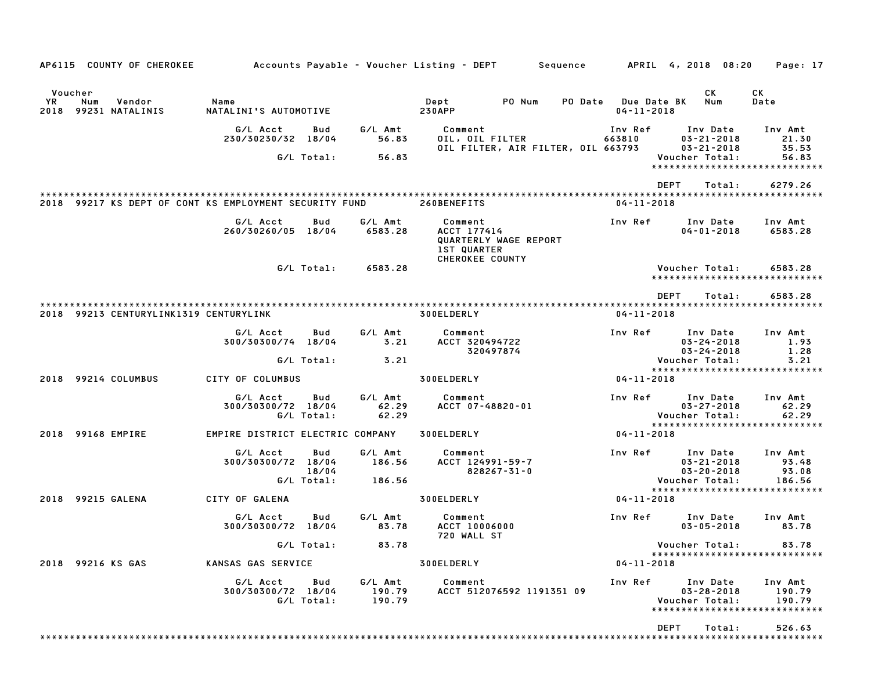| AP6115 COUNTY OF CHEROKEE                              | Accounts Payable – Voucher Listing – DEPT         Sequence |                            |                             |                                                                 |                                    |                                                | APRIL 4, 2018 08:20                                                | Page: 17                                                               |
|--------------------------------------------------------|------------------------------------------------------------|----------------------------|-----------------------------|-----------------------------------------------------------------|------------------------------------|------------------------------------------------|--------------------------------------------------------------------|------------------------------------------------------------------------|
| Voucher<br>YR<br>Num<br>Vendor<br>2018 99231 NATALINIS | Name<br>NATALINI'S AUTOMOTIVE                              |                            |                             | Dept<br><b>230APP</b>                                           | PO Num                             | <b>PO Date</b> Due Date BK<br>$04 - 11 - 2018$ | CK<br>Num                                                          | CK<br>Date                                                             |
|                                                        | G/L Acct<br>230/30230/32 18/04                             | Bud<br>G/L Total:          | G/L Amt<br>56.83<br>56.83   | Comment<br>OIL, OIL FILTER                                      | OIL FILTER, AIR FILTER, OIL 663793 | Inv Ref<br>663810                              | Inv Date<br>$03 - 21 - 2018$<br>$03 - 21 - 2018$<br>Voucher Total: | Inv Amt<br>21.30<br>35.53<br>56.83                                     |
|                                                        |                                                            |                            |                             |                                                                 |                                    |                                                | <b>DEPT</b>                                                        | ******************************<br>6279.26<br>Total:                    |
| 2018 99217 KS DEPT OF CONT KS EMPLOYMENT SECURITY FUND |                                                            |                            |                             | 260BENEFITS                                                     |                                    | $04 - 11 - 2018$                               |                                                                    |                                                                        |
|                                                        | G/L Acct<br>260/30260/05 18/04                             | Bud                        | G/L Amt<br>6583.28          | Comment<br>ACCT 177414<br><b>1ST QUARTER</b><br>CHEROKEE COUNTY | QUARTERLY WAGE REPORT              | Inv Ref                                        | Inv Date<br>$04 - 01 - 2018$                                       | Inv Amt<br>6583.28                                                     |
|                                                        |                                                            | G/L Total:                 | 6583.28                     |                                                                 |                                    |                                                | Voucher Total:                                                     | 6583.28<br>*****************************                               |
|                                                        |                                                            |                            |                             |                                                                 |                                    |                                                | <b>DEPT</b><br>Total:                                              | 6583.28                                                                |
| 2018 99213 CENTURYLINK1319 CENTURYLINK                 |                                                            |                            |                             | 300ELDERLY                                                      |                                    | $04 - 11 - 2018$                               |                                                                    |                                                                        |
|                                                        | G/L Acct<br>300/30300/74 18/04                             | Bud<br>G/L Total:          | G/L Amt<br>3.21             | Comment<br>ACCT 320494722                                       | 320497874                          | Inv Ref                                        | Inv Date<br>$03 - 24 - 2018$<br>$03 - 24 - 2018$<br>Voucher Total: | Inv Amt<br>1.93<br>1.28<br>3.21                                        |
|                                                        |                                                            |                            | 3.21                        |                                                                 |                                    |                                                |                                                                    | *****************************                                          |
| 2018 99214 COLUMBUS                                    | CITY OF COLUMBUS                                           |                            |                             | 300ELDERLY                                                      |                                    | 04-11-2018                                     |                                                                    |                                                                        |
|                                                        | G/L Acct<br>300/30300/72 18/04                             | Bud<br>G/L Total:          | G/L Amt<br>62.29<br>62.29   | Comment<br>ACCT 07-48820-01                                     |                                    | Inv Ref                                        | Inv Date<br>$03 - 27 - 2018$<br>Voucher Total:                     | Inv Amt<br>62.29<br>62.29<br>*****************************             |
| 2018 99168 EMPIRE                                      | EMPIRE DISTRICT ELECTRIC COMPANY                           |                            |                             | 300ELDERLY                                                      |                                    | $04 - 11 - 2018$                               |                                                                    |                                                                        |
|                                                        | G/L Acct<br>300/30300/72 18/04                             | Bud<br>18/04<br>G/L Total: | G/L Amt<br>186.56<br>186.56 | Comment<br>ACCT 124991-59-7                                     | $828267 - 31 - 0$                  | Inv Ref                                        | Inv Date<br>$03 - 21 - 2018$<br>$03 - 20 - 2018$<br>Voucher Total: | Inv Amt<br>93.48<br>93.08<br>186.56                                    |
| 2018 99215 GALENA                                      | CITY OF GALENA                                             |                            |                             | 300ELDERLY                                                      |                                    | 04-11-2018                                     |                                                                    | ******************************                                         |
|                                                        | G/L Acct<br>300/30300/72 18/04                             | Bud                        | G/L Amt<br>83.78            | Comment<br>ACCT 10006000<br>720 WALL ST                         |                                    | Inv Ref                                        | Inv Date<br>$03 - 05 - 2018$                                       | Inv Amt<br>83.78                                                       |
| 2018 99216 KS GAS                                      | KANSAS GAS SERVICE                                         | G/L Total:                 | 83.78                       | 300ELDERLY                                                      |                                    | $04 - 11 - 2018$                               | Voucher Total:                                                     | 83.78<br>*****************************                                 |
|                                                        | G/L Acct<br>300/30300/72 18/04                             | Bud<br>G/L Total:          | G/L Amt<br>190.79<br>190.79 | Comment                                                         | ACCT 512076592 1191351 09          | Inv Ref                                        | Inv Date<br>$03 - 28 - 2018$<br>Voucher Total:<br>DEPT             | Inv Amt<br>190.79<br>190.79<br>*****************************<br>526.63 |
|                                                        |                                                            |                            |                             |                                                                 |                                    |                                                | Total:                                                             |                                                                        |